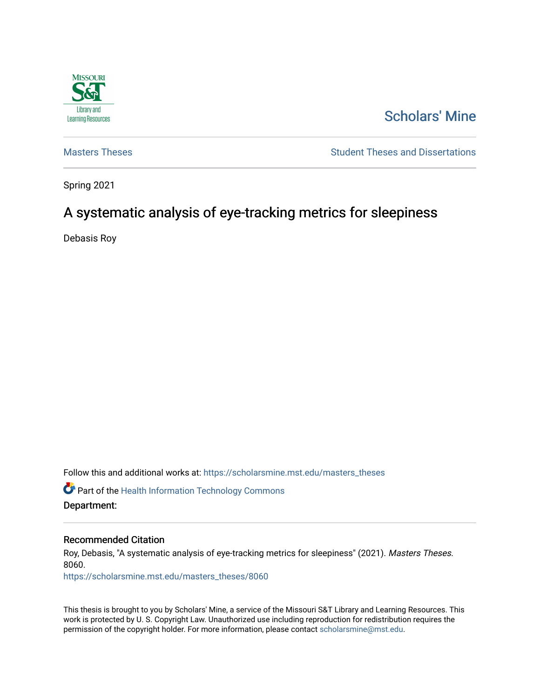

# [Scholars' Mine](https://scholarsmine.mst.edu/)

[Masters Theses](https://scholarsmine.mst.edu/masters_theses) **Student Theses and Dissertations** Student Theses and Dissertations

Spring 2021

# A systematic analysis of eye-tracking metrics for sleepiness

Debasis Roy

Follow this and additional works at: [https://scholarsmine.mst.edu/masters\\_theses](https://scholarsmine.mst.edu/masters_theses?utm_source=scholarsmine.mst.edu%2Fmasters_theses%2F8060&utm_medium=PDF&utm_campaign=PDFCoverPages) 

**C** Part of the Health Information Technology Commons Department:

#### Recommended Citation

Roy, Debasis, "A systematic analysis of eye-tracking metrics for sleepiness" (2021). Masters Theses. 8060.

[https://scholarsmine.mst.edu/masters\\_theses/8060](https://scholarsmine.mst.edu/masters_theses/8060?utm_source=scholarsmine.mst.edu%2Fmasters_theses%2F8060&utm_medium=PDF&utm_campaign=PDFCoverPages) 

This thesis is brought to you by Scholars' Mine, a service of the Missouri S&T Library and Learning Resources. This work is protected by U. S. Copyright Law. Unauthorized use including reproduction for redistribution requires the permission of the copyright holder. For more information, please contact [scholarsmine@mst.edu](mailto:scholarsmine@mst.edu).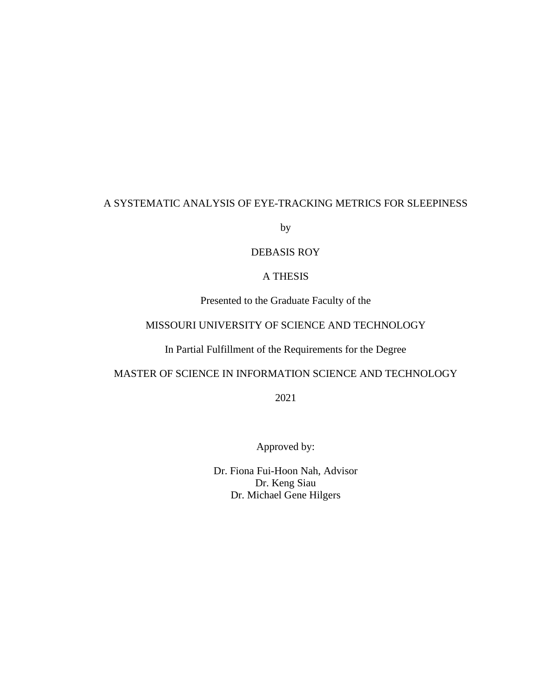# A SYSTEMATIC ANALYSIS OF EYE-TRACKING METRICS FOR SLEEPINESS

by

### DEBASIS ROY

## A THESIS

Presented to the Graduate Faculty of the

# MISSOURI UNIVERSITY OF SCIENCE AND TECHNOLOGY

# In Partial Fulfillment of the Requirements for the Degree

# MASTER OF SCIENCE IN INFORMATION SCIENCE AND TECHNOLOGY

2021

Approved by:

Dr. Fiona Fui-Hoon Nah, Advisor Dr. Keng Siau Dr. Michael Gene Hilgers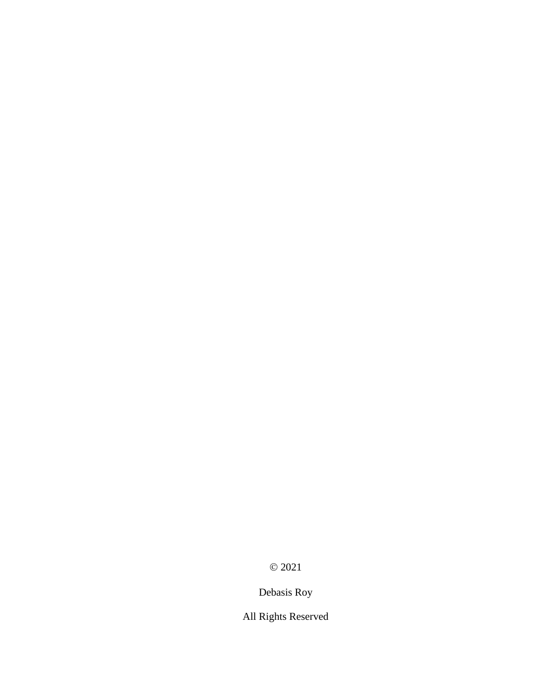© 2021

# Debasis Roy

All Rights Reserved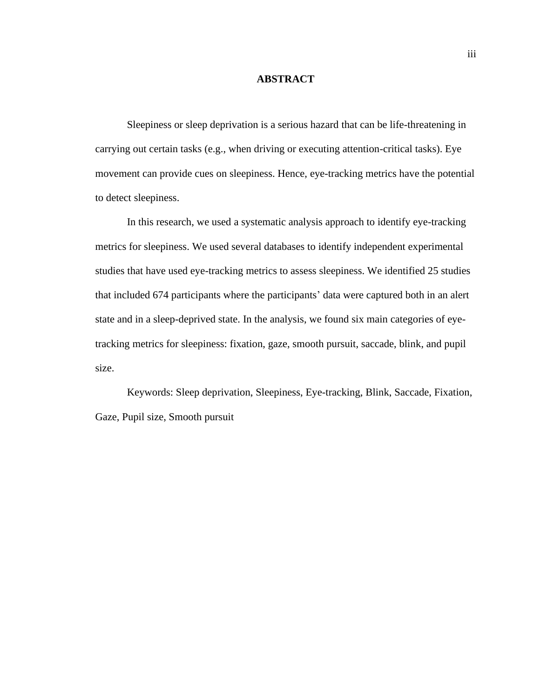#### **ABSTRACT**

Sleepiness or sleep deprivation is a serious hazard that can be life-threatening in carrying out certain tasks (e.g., when driving or executing attention-critical tasks). Eye movement can provide cues on sleepiness. Hence, eye-tracking metrics have the potential to detect sleepiness.

In this research, we used a systematic analysis approach to identify eye-tracking metrics for sleepiness. We used several databases to identify independent experimental studies that have used eye-tracking metrics to assess sleepiness. We identified 25 studies that included 674 participants where the participants' data were captured both in an alert state and in a sleep-deprived state. In the analysis, we found six main categories of eyetracking metrics for sleepiness: fixation, gaze, smooth pursuit, saccade, blink, and pupil size.

Keywords: Sleep deprivation, Sleepiness, Eye-tracking, Blink, Saccade, Fixation, Gaze, Pupil size, Smooth pursuit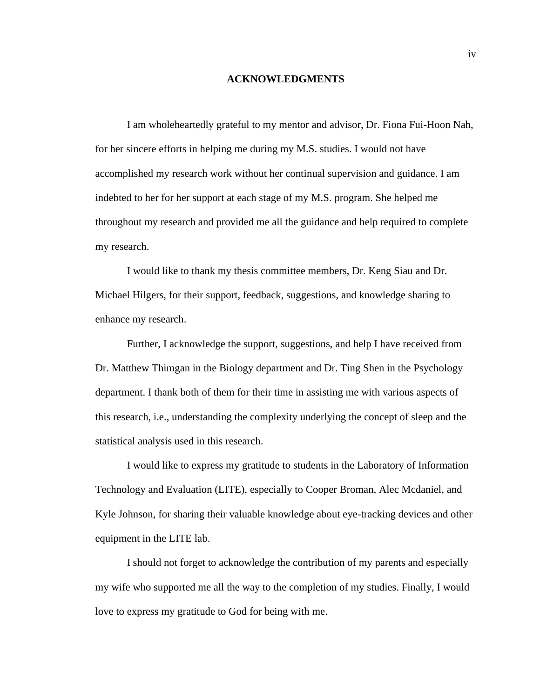#### **ACKNOWLEDGMENTS**

I am wholeheartedly grateful to my mentor and advisor, Dr. Fiona Fui-Hoon Nah, for her sincere efforts in helping me during my M.S. studies. I would not have accomplished my research work without her continual supervision and guidance. I am indebted to her for her support at each stage of my M.S. program. She helped me throughout my research and provided me all the guidance and help required to complete my research.

I would like to thank my thesis committee members, Dr. Keng Siau and Dr. Michael Hilgers, for their support, feedback, suggestions, and knowledge sharing to enhance my research.

Further, I acknowledge the support, suggestions, and help I have received from Dr. Matthew Thimgan in the Biology department and Dr. Ting Shen in the Psychology department. I thank both of them for their time in assisting me with various aspects of this research, i.e., understanding the complexity underlying the concept of sleep and the statistical analysis used in this research.

I would like to express my gratitude to students in the Laboratory of Information Technology and Evaluation (LITE), especially to Cooper Broman, Alec Mcdaniel, and Kyle Johnson, for sharing their valuable knowledge about eye-tracking devices and other equipment in the LITE lab.

I should not forget to acknowledge the contribution of my parents and especially my wife who supported me all the way to the completion of my studies. Finally, I would love to express my gratitude to God for being with me.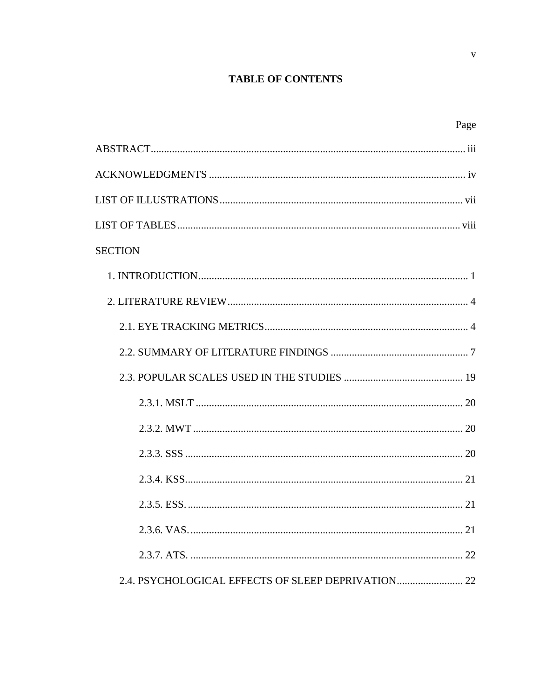# **TABLE OF CONTENTS**

| Page                                            |
|-------------------------------------------------|
|                                                 |
|                                                 |
|                                                 |
|                                                 |
| <b>SECTION</b>                                  |
|                                                 |
|                                                 |
|                                                 |
|                                                 |
|                                                 |
|                                                 |
|                                                 |
|                                                 |
|                                                 |
| 21                                              |
| 21                                              |
| 22                                              |
| 2.4. PSYCHOLOGICAL EFFECTS OF SLEEP DEPRIVATION |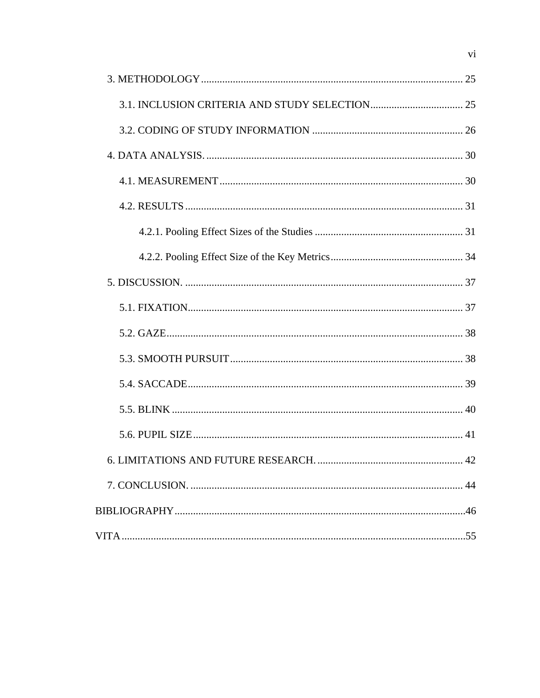| 6. LIMITATIONS AND FUTURE RESEARCH. | $\dots$ 42 |
|-------------------------------------|------------|
|                                     |            |
|                                     |            |
|                                     |            |

 $\overline{vi}$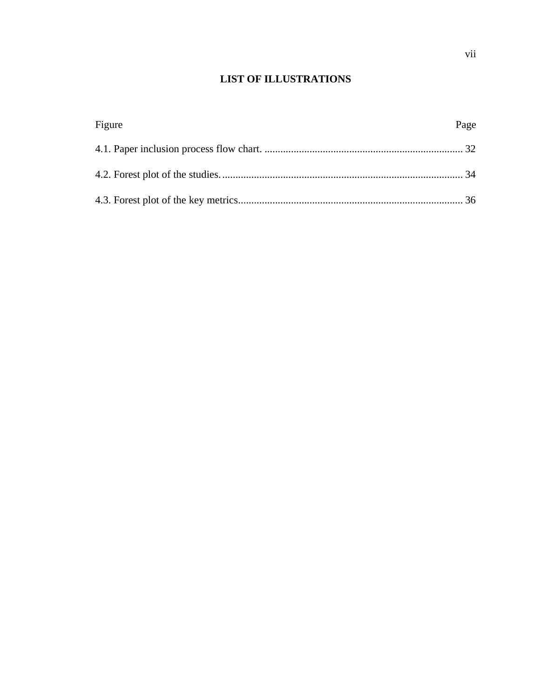# **LIST OF ILLUSTRATIONS**

| Figure | Page |
|--------|------|
|        |      |
|        |      |
|        |      |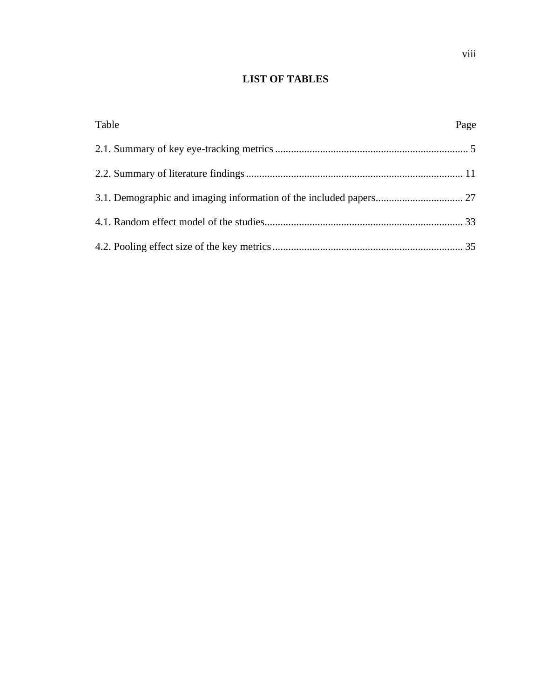# **LIST OF TABLES**

| Table | Page |
|-------|------|
|       |      |
|       |      |
|       |      |
|       |      |
|       |      |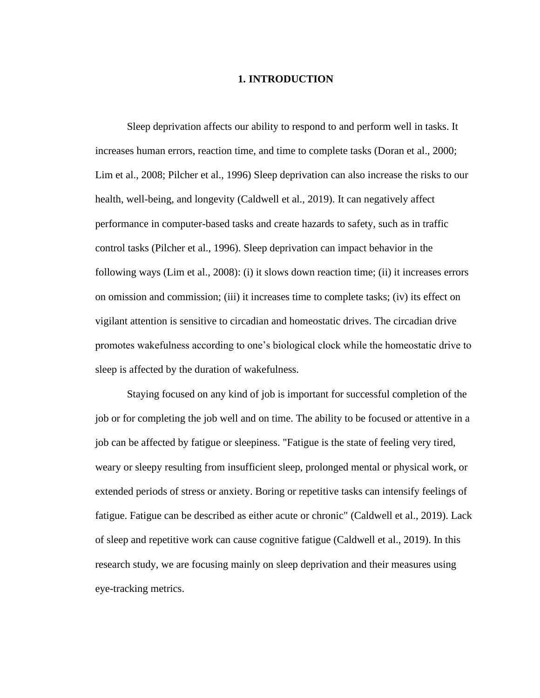### **1. INTRODUCTION**

Sleep deprivation affects our ability to respond to and perform well in tasks. It increases human errors, reaction time, and time to complete tasks (Doran et al., 2000; Lim et al., 2008; Pilcher et al., 1996) Sleep deprivation can also increase the risks to our health, well-being, and longevity (Caldwell et al., 2019). It can negatively affect performance in computer-based tasks and create hazards to safety, such as in traffic control tasks (Pilcher et al., 1996). Sleep deprivation can impact behavior in the following ways (Lim et al., 2008): (i) it slows down reaction time; (ii) it increases errors on omission and commission; (iii) it increases time to complete tasks; (iv) its effect on vigilant attention is sensitive to circadian and homeostatic drives. The circadian drive promotes wakefulness according to one's biological clock while the homeostatic drive to sleep is affected by the duration of wakefulness.

Staying focused on any kind of job is important for successful completion of the job or for completing the job well and on time. The ability to be focused or attentive in a job can be affected by fatigue or sleepiness. "Fatigue is the state of feeling very tired, weary or sleepy resulting from insufficient sleep, prolonged mental or physical work, or extended periods of stress or anxiety. Boring or repetitive tasks can intensify feelings of fatigue. Fatigue can be described as either acute or chronic" (Caldwell et al., 2019). Lack of sleep and repetitive work can cause cognitive fatigue (Caldwell et al., 2019). In this research study, we are focusing mainly on sleep deprivation and their measures using eye-tracking metrics.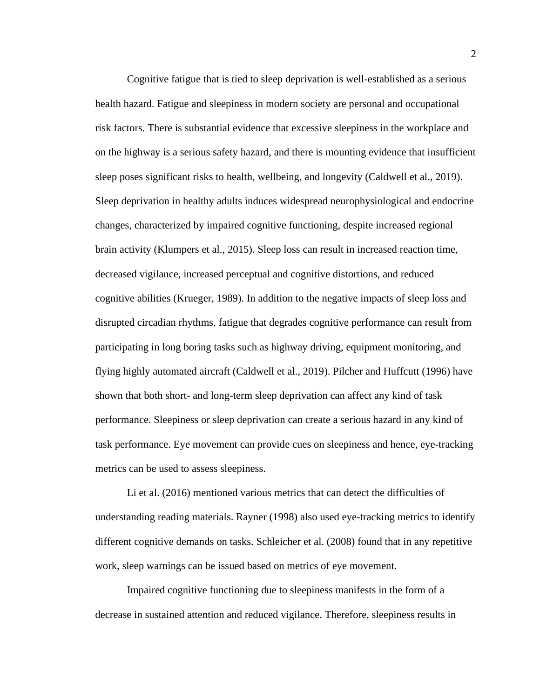Cognitive fatigue that is tied to sleep deprivation is well-established as a serious health hazard. Fatigue and sleepiness in modern society are personal and occupational risk factors. There is substantial evidence that excessive sleepiness in the workplace and on the highway is a serious safety hazard, and there is mounting evidence that insufficient sleep poses significant risks to health, wellbeing, and longevity (Caldwell et al., 2019). Sleep deprivation in healthy adults induces widespread neurophysiological and endocrine changes, characterized by impaired cognitive functioning, despite increased regional brain activity (Klumpers et al., 2015). Sleep loss can result in increased reaction time, decreased vigilance, increased perceptual and cognitive distortions, and reduced cognitive abilities (Krueger, 1989). In addition to the negative impacts of sleep loss and disrupted circadian rhythms, fatigue that degrades cognitive performance can result from participating in long boring tasks such as highway driving, equipment monitoring, and flying highly automated aircraft (Caldwell et al., 2019). Pilcher and Huffcutt (1996) have shown that both short- and long-term sleep deprivation can affect any kind of task performance. Sleepiness or sleep deprivation can create a serious hazard in any kind of task performance. Eye movement can provide cues on sleepiness and hence, eye-tracking metrics can be used to assess sleepiness.

Li et al. (2016) mentioned various metrics that can detect the difficulties of understanding reading materials. Rayner (1998) also used eye-tracking metrics to identify different cognitive demands on tasks. Schleicher et al. (2008) found that in any repetitive work, sleep warnings can be issued based on metrics of eye movement.

Impaired cognitive functioning due to sleepiness manifests in the form of a decrease in sustained attention and reduced vigilance. Therefore, sleepiness results in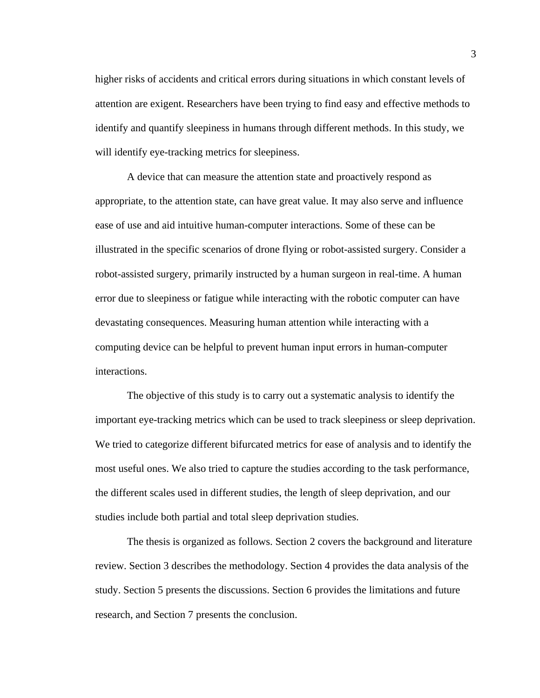higher risks of accidents and critical errors during situations in which constant levels of attention are exigent. Researchers have been trying to find easy and effective methods to identify and quantify sleepiness in humans through different methods. In this study, we will identify eye-tracking metrics for sleepiness.

A device that can measure the attention state and proactively respond as appropriate, to the attention state, can have great value. It may also serve and influence ease of use and aid intuitive human-computer interactions. Some of these can be illustrated in the specific scenarios of drone flying or robot-assisted surgery. Consider a robot-assisted surgery, primarily instructed by a human surgeon in real-time. A human error due to sleepiness or fatigue while interacting with the robotic computer can have devastating consequences. Measuring human attention while interacting with a computing device can be helpful to prevent human input errors in human-computer interactions.

The objective of this study is to carry out a systematic analysis to identify the important eye-tracking metrics which can be used to track sleepiness or sleep deprivation. We tried to categorize different bifurcated metrics for ease of analysis and to identify the most useful ones. We also tried to capture the studies according to the task performance, the different scales used in different studies, the length of sleep deprivation, and our studies include both partial and total sleep deprivation studies.

The thesis is organized as follows. Section 2 covers the background and literature review. Section 3 describes the methodology. Section 4 provides the data analysis of the study. Section 5 presents the discussions. Section 6 provides the limitations and future research, and Section 7 presents the conclusion.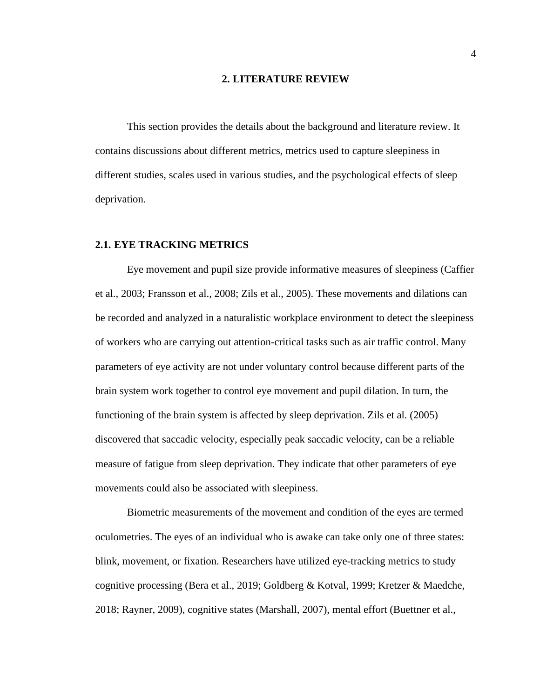#### **2. LITERATURE REVIEW**

This section provides the details about the background and literature review. It contains discussions about different metrics, metrics used to capture sleepiness in different studies, scales used in various studies, and the psychological effects of sleep deprivation.

#### **2.1. EYE TRACKING METRICS**

Eye movement and pupil size provide informative measures of sleepiness (Caffier et al., 2003; Fransson et al., 2008; Zils et al., 2005). These movements and dilations can be recorded and analyzed in a naturalistic workplace environment to detect the sleepiness of workers who are carrying out attention-critical tasks such as air traffic control. Many parameters of eye activity are not under voluntary control because different parts of the brain system work together to control eye movement and pupil dilation. In turn, the functioning of the brain system is affected by sleep deprivation. Zils et al. (2005) discovered that saccadic velocity, especially peak saccadic velocity, can be a reliable measure of fatigue from sleep deprivation. They indicate that other parameters of eye movements could also be associated with sleepiness.

Biometric measurements of the movement and condition of the eyes are termed oculometries. The eyes of an individual who is awake can take only one of three states: blink, movement, or fixation. Researchers have utilized eye-tracking metrics to study cognitive processing (Bera et al., 2019; Goldberg & Kotval, 1999; Kretzer & Maedche, 2018; Rayner, 2009), cognitive states (Marshall, 2007), mental effort (Buettner et al.,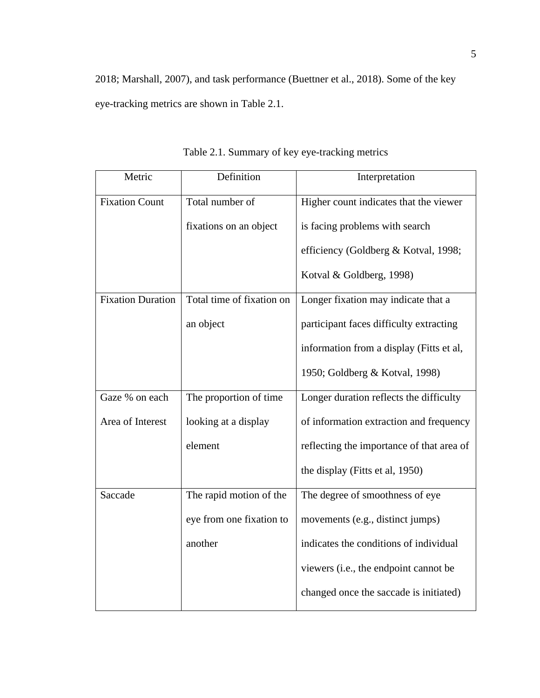2018; Marshall, 2007), and task performance (Buettner et al., 2018). Some of the key eye-tracking metrics are shown in Table 2.1.

| Metric                   | Definition                | Interpretation                            |
|--------------------------|---------------------------|-------------------------------------------|
| <b>Fixation Count</b>    | Total number of           | Higher count indicates that the viewer    |
|                          | fixations on an object    | is facing problems with search            |
|                          |                           | efficiency (Goldberg & Kotval, 1998;      |
|                          |                           | Kotval & Goldberg, 1998)                  |
| <b>Fixation Duration</b> | Total time of fixation on | Longer fixation may indicate that a       |
|                          | an object                 | participant faces difficulty extracting   |
|                          |                           | information from a display (Fitts et al,  |
|                          |                           | 1950; Goldberg & Kotval, 1998)            |
| Gaze % on each           | The proportion of time    | Longer duration reflects the difficulty   |
| Area of Interest         | looking at a display      | of information extraction and frequency   |
|                          | element                   | reflecting the importance of that area of |
|                          |                           | the display (Fitts et al, 1950)           |
| Saccade                  | The rapid motion of the   | The degree of smoothness of eye           |
|                          | eye from one fixation to  | movements (e.g., distinct jumps)          |
|                          | another                   | indicates the conditions of individual    |
|                          |                           | viewers (i.e., the endpoint cannot be     |
|                          |                           | changed once the saccade is initiated)    |

Table 2.1. Summary of key eye-tracking metrics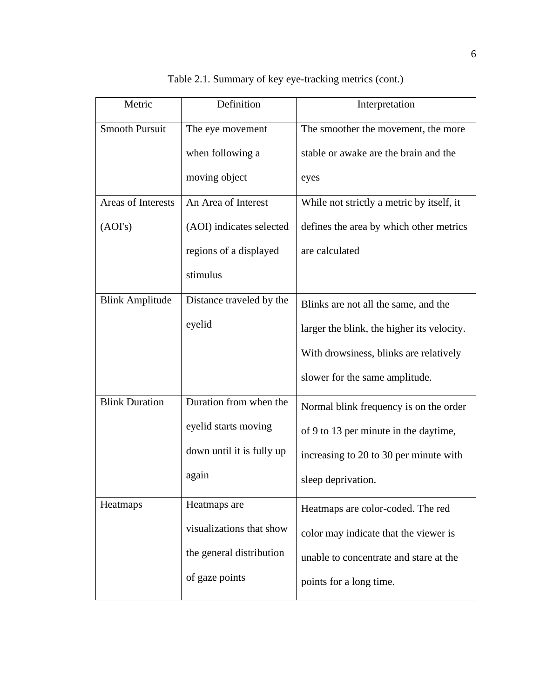| Metric                 | Definition                | Interpretation                             |
|------------------------|---------------------------|--------------------------------------------|
| <b>Smooth Pursuit</b>  | The eye movement          | The smoother the movement, the more        |
|                        | when following a          | stable or awake are the brain and the      |
|                        | moving object             | eyes                                       |
| Areas of Interests     | An Area of Interest       | While not strictly a metric by itself, it  |
| (AOI's)                | (AOI) indicates selected  | defines the area by which other metrics    |
|                        | regions of a displayed    | are calculated                             |
|                        | stimulus                  |                                            |
| <b>Blink Amplitude</b> | Distance traveled by the  | Blinks are not all the same, and the       |
|                        | eyelid                    | larger the blink, the higher its velocity. |
|                        |                           | With drowsiness, blinks are relatively     |
|                        |                           | slower for the same amplitude.             |
| <b>Blink Duration</b>  | Duration from when the    | Normal blink frequency is on the order     |
|                        | eyelid starts moving      | of 9 to 13 per minute in the daytime,      |
|                        | down until it is fully up | increasing to 20 to 30 per minute with     |
|                        | again                     | sleep deprivation.                         |
| Heatmaps               | Heatmaps are              | Heatmaps are color-coded. The red          |
|                        | visualizations that show  | color may indicate that the viewer is      |
|                        | the general distribution  | unable to concentrate and stare at the     |
|                        | of gaze points            | points for a long time.                    |

Table 2.1. Summary of key eye-tracking metrics (cont.)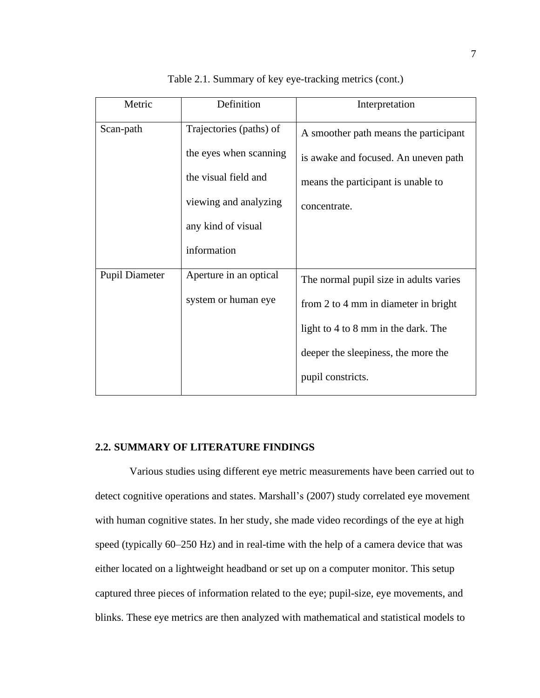| Metric                | Definition              | Interpretation                         |
|-----------------------|-------------------------|----------------------------------------|
| Scan-path             | Trajectories (paths) of | A smoother path means the participant  |
|                       | the eyes when scanning  | is awake and focused. An uneven path   |
|                       | the visual field and    | means the participant is unable to     |
|                       | viewing and analyzing   | concentrate.                           |
|                       | any kind of visual      |                                        |
|                       | information             |                                        |
| <b>Pupil Diameter</b> | Aperture in an optical  | The normal pupil size in adults varies |
|                       | system or human eye     | from 2 to 4 mm in diameter in bright   |
|                       |                         | light to 4 to 8 mm in the dark. The    |
|                       |                         | deeper the sleepiness, the more the    |
|                       |                         | pupil constricts.                      |

Table 2.1. Summary of key eye-tracking metrics (cont.)

#### **2.2. SUMMARY OF LITERATURE FINDINGS**

Various studies using different eye metric measurements have been carried out to detect cognitive operations and states. Marshall's (2007) study correlated eye movement with human cognitive states. In her study, she made video recordings of the eye at high speed (typically 60–250 Hz) and in real-time with the help of a camera device that was either located on a lightweight headband or set up on a computer monitor. This setup captured three pieces of information related to the eye; pupil-size, eye movements, and blinks. These eye metrics are then analyzed with mathematical and statistical models to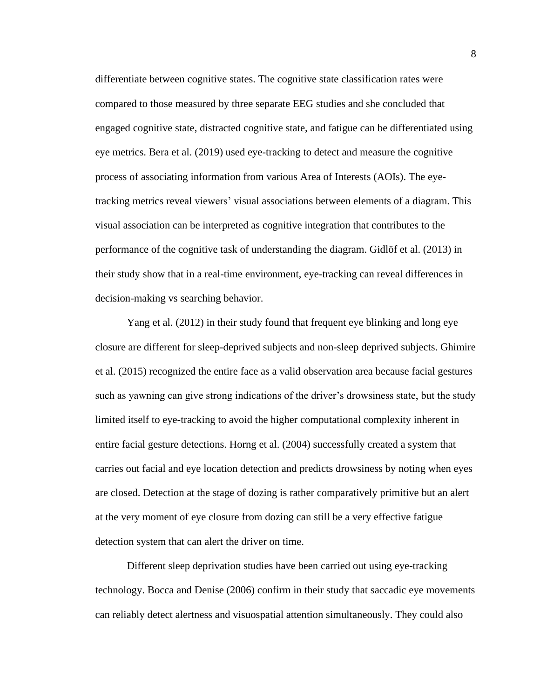differentiate between cognitive states. The cognitive state classification rates were compared to those measured by three separate EEG studies and she concluded that engaged cognitive state, distracted cognitive state, and fatigue can be differentiated using eye metrics. Bera et al. (2019) used eye-tracking to detect and measure the cognitive process of associating information from various Area of Interests (AOIs). The eyetracking metrics reveal viewers' visual associations between elements of a diagram. This visual association can be interpreted as cognitive integration that contributes to the performance of the cognitive task of understanding the diagram. Gidlöf et al. (2013) in their study show that in a real-time environment, eye-tracking can reveal differences in decision-making vs searching behavior.

Yang et al. (2012) in their study found that frequent eye blinking and long eye closure are different for sleep-deprived subjects and non-sleep deprived subjects. Ghimire et al. (2015) recognized the entire face as a valid observation area because facial gestures such as yawning can give strong indications of the driver's drowsiness state, but the study limited itself to eye-tracking to avoid the higher computational complexity inherent in entire facial gesture detections. Horng et al. (2004) successfully created a system that carries out facial and eye location detection and predicts drowsiness by noting when eyes are closed. Detection at the stage of dozing is rather comparatively primitive but an alert at the very moment of eye closure from dozing can still be a very effective fatigue detection system that can alert the driver on time.

Different sleep deprivation studies have been carried out using eye-tracking technology. Bocca and Denise (2006) confirm in their study that saccadic eye movements can reliably detect alertness and visuospatial attention simultaneously. They could also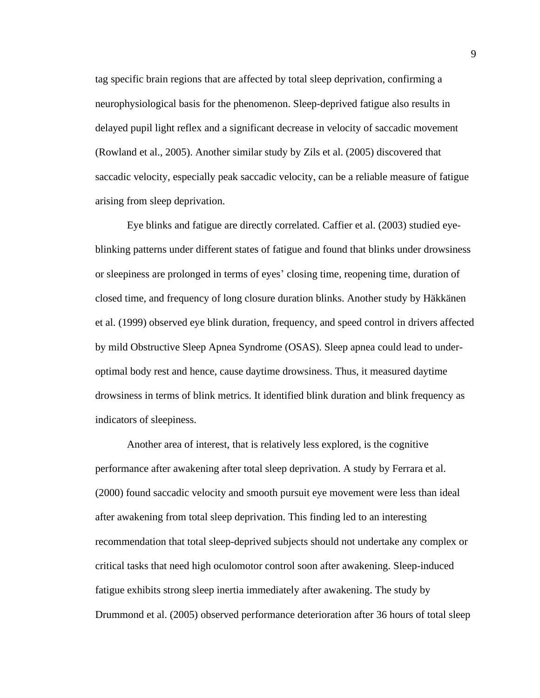tag specific brain regions that are affected by total sleep deprivation, confirming a neurophysiological basis for the phenomenon. Sleep-deprived fatigue also results in delayed pupil light reflex and a significant decrease in velocity of saccadic movement (Rowland et al., 2005). Another similar study by Zils et al. (2005) discovered that saccadic velocity, especially peak saccadic velocity, can be a reliable measure of fatigue arising from sleep deprivation.

Eye blinks and fatigue are directly correlated. Caffier et al. (2003) studied eyeblinking patterns under different states of fatigue and found that blinks under drowsiness or sleepiness are prolonged in terms of eyes' closing time, reopening time, duration of closed time, and frequency of long closure duration blinks. Another study by Häkkänen et al. (1999) observed eye blink duration, frequency, and speed control in drivers affected by mild Obstructive Sleep Apnea Syndrome (OSAS). Sleep apnea could lead to underoptimal body rest and hence, cause daytime drowsiness. Thus, it measured daytime drowsiness in terms of blink metrics. It identified blink duration and blink frequency as indicators of sleepiness.

Another area of interest, that is relatively less explored, is the cognitive performance after awakening after total sleep deprivation. A study by Ferrara et al. (2000) found saccadic velocity and smooth pursuit eye movement were less than ideal after awakening from total sleep deprivation. This finding led to an interesting recommendation that total sleep-deprived subjects should not undertake any complex or critical tasks that need high oculomotor control soon after awakening. Sleep-induced fatigue exhibits strong sleep inertia immediately after awakening. The study by Drummond et al. (2005) observed performance deterioration after 36 hours of total sleep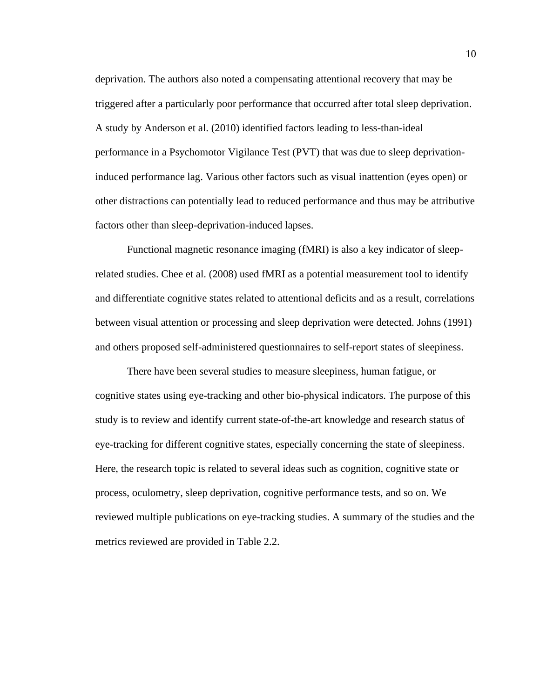deprivation. The authors also noted a compensating attentional recovery that may be triggered after a particularly poor performance that occurred after total sleep deprivation. A study by Anderson et al. (2010) identified factors leading to less-than-ideal performance in a Psychomotor Vigilance Test (PVT) that was due to sleep deprivationinduced performance lag. Various other factors such as visual inattention (eyes open) or other distractions can potentially lead to reduced performance and thus may be attributive factors other than sleep-deprivation-induced lapses.

Functional magnetic resonance imaging (fMRI) is also a key indicator of sleeprelated studies. Chee et al. (2008) used fMRI as a potential measurement tool to identify and differentiate cognitive states related to attentional deficits and as a result, correlations between visual attention or processing and sleep deprivation were detected. Johns (1991) and others proposed self-administered questionnaires to self-report states of sleepiness.

There have been several studies to measure sleepiness, human fatigue, or cognitive states using eye-tracking and other bio-physical indicators. The purpose of this study is to review and identify current state-of-the-art knowledge and research status of eye-tracking for different cognitive states, especially concerning the state of sleepiness. Here, the research topic is related to several ideas such as cognition, cognitive state or process, oculometry, sleep deprivation, cognitive performance tests, and so on. We reviewed multiple publications on eye-tracking studies. A summary of the studies and the metrics reviewed are provided in Table 2.2.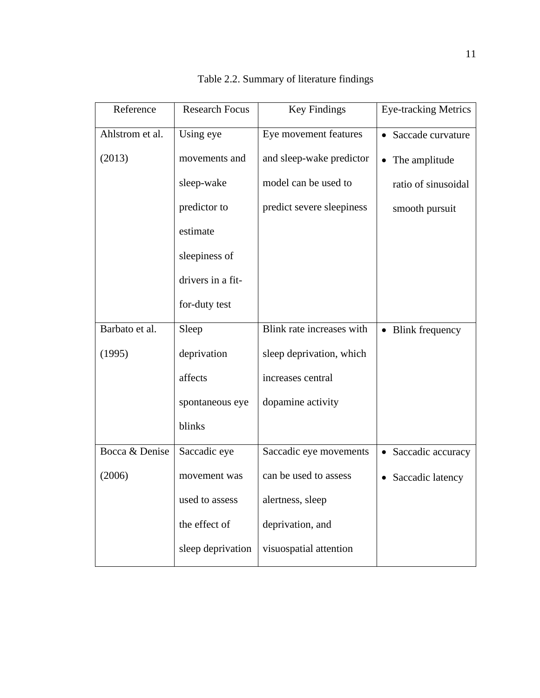| Reference       | <b>Research Focus</b> | <b>Key Findings</b>       | <b>Eye-tracking Metrics</b>    |
|-----------------|-----------------------|---------------------------|--------------------------------|
| Ahlstrom et al. | Using eye             | Eye movement features     | Saccade curvature              |
| (2013)          | movements and         | and sleep-wake predictor  | The amplitude                  |
|                 | sleep-wake            | model can be used to      | ratio of sinusoidal            |
|                 | predictor to          | predict severe sleepiness | smooth pursuit                 |
|                 | estimate              |                           |                                |
|                 | sleepiness of         |                           |                                |
|                 | drivers in a fit-     |                           |                                |
|                 | for-duty test         |                           |                                |
| Barbato et al.  | Sleep                 | Blink rate increases with | • Blink frequency              |
| (1995)          | deprivation           | sleep deprivation, which  |                                |
|                 | affects               | increases central         |                                |
|                 | spontaneous eye       | dopamine activity         |                                |
|                 | blinks                |                           |                                |
| Bocca & Denise  | Saccadic eye          | Saccadic eye movements    | Saccadic accuracy<br>$\bullet$ |
| (2006)          | movement was          | can be used to assess     | Saccadic latency               |
|                 | used to assess        | alertness, sleep          |                                |
|                 | the effect of         | deprivation, and          |                                |
|                 | sleep deprivation     | visuospatial attention    |                                |

Table 2.2. Summary of literature findings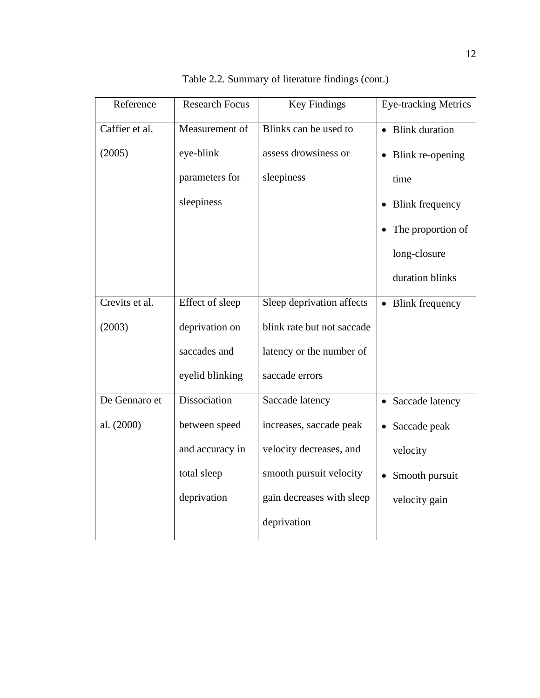| Reference      | <b>Research Focus</b> | <b>Key Findings</b>        | <b>Eye-tracking Metrics</b> |
|----------------|-----------------------|----------------------------|-----------------------------|
| Caffier et al. | Measurement of        | Blinks can be used to      | • Blink duration            |
| (2005)         | eye-blink             | assess drowsiness or       | Blink re-opening            |
|                | parameters for        | sleepiness                 | time                        |
|                | sleepiness            |                            | <b>Blink frequency</b>      |
|                |                       |                            | The proportion of           |
|                |                       |                            | long-closure                |
|                |                       |                            | duration blinks             |
| Crevits et al. | Effect of sleep       | Sleep deprivation affects  | • Blink frequency           |
| (2003)         | deprivation on        | blink rate but not saccade |                             |
|                | saccades and          | latency or the number of   |                             |
|                | eyelid blinking       | saccade errors             |                             |
| De Gennaro et  | Dissociation          | Saccade latency            | • Saccade latency           |
| al. (2000)     | between speed         | increases, saccade peak    | Saccade peak<br>$\bullet$   |
|                | and accuracy in       | velocity decreases, and    | velocity                    |
|                | total sleep           | smooth pursuit velocity    | Smooth pursuit              |
|                | deprivation           | gain decreases with sleep  | velocity gain               |
|                |                       | deprivation                |                             |

Table 2.2. Summary of literature findings (cont.)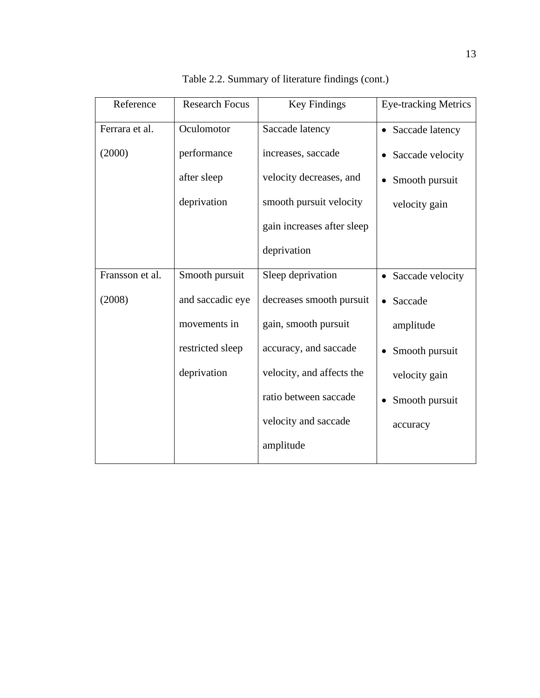| Reference       | <b>Research Focus</b> | <b>Key Findings</b>        | <b>Eye-tracking Metrics</b>   |
|-----------------|-----------------------|----------------------------|-------------------------------|
| Ferrara et al.  | Oculomotor            | Saccade latency            | • Saccade latency             |
| (2000)          | performance           | increases, saccade         | Saccade velocity              |
|                 | after sleep           | velocity decreases, and    | Smooth pursuit                |
|                 | deprivation           | smooth pursuit velocity    | velocity gain                 |
|                 |                       | gain increases after sleep |                               |
|                 |                       | deprivation                |                               |
| Fransson et al. | Smooth pursuit        | Sleep deprivation          | Saccade velocity<br>$\bullet$ |
| (2008)          | and saccadic eye      | decreases smooth pursuit   | Saccade<br>$\bullet$          |
|                 | movements in          | gain, smooth pursuit       | amplitude                     |
|                 | restricted sleep      | accuracy, and saccade      | Smooth pursuit<br>$\bullet$   |
|                 | deprivation           | velocity, and affects the  | velocity gain                 |
|                 |                       | ratio between saccade      | Smooth pursuit<br>٠           |
|                 |                       | velocity and saccade       | accuracy                      |
|                 |                       | amplitude                  |                               |

Table 2.2. Summary of literature findings (cont.)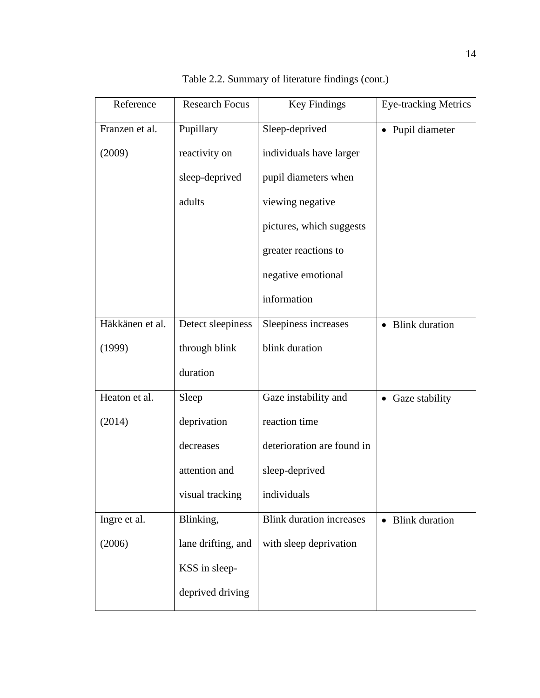| Reference       | <b>Research Focus</b> | <b>Key Findings</b>             | <b>Eye-tracking Metrics</b> |
|-----------------|-----------------------|---------------------------------|-----------------------------|
| Franzen et al.  | Pupillary             | Sleep-deprived                  | • Pupil diameter            |
| (2009)          | reactivity on         | individuals have larger         |                             |
|                 | sleep-deprived        | pupil diameters when            |                             |
|                 | adults                | viewing negative                |                             |
|                 |                       | pictures, which suggests        |                             |
|                 |                       | greater reactions to            |                             |
|                 |                       | negative emotional              |                             |
|                 |                       | information                     |                             |
| Häkkänen et al. | Detect sleepiness     | Sleepiness increases            | • Blink duration            |
| (1999)          | through blink         | blink duration                  |                             |
|                 | duration              |                                 |                             |
| Heaton et al.   | Sleep                 | Gaze instability and            | • Gaze stability            |
| (2014)          | deprivation           | reaction time                   |                             |
|                 | decreases             | deterioration are found in      |                             |
|                 | attention and         | sleep-deprived                  |                             |
|                 | visual tracking       | individuals                     |                             |
| Ingre et al.    | Blinking,             | <b>Blink duration increases</b> | • Blink duration            |
| (2006)          | lane drifting, and    | with sleep deprivation          |                             |
|                 | KSS in sleep-         |                                 |                             |
|                 | deprived driving      |                                 |                             |

Table 2.2. Summary of literature findings (cont.)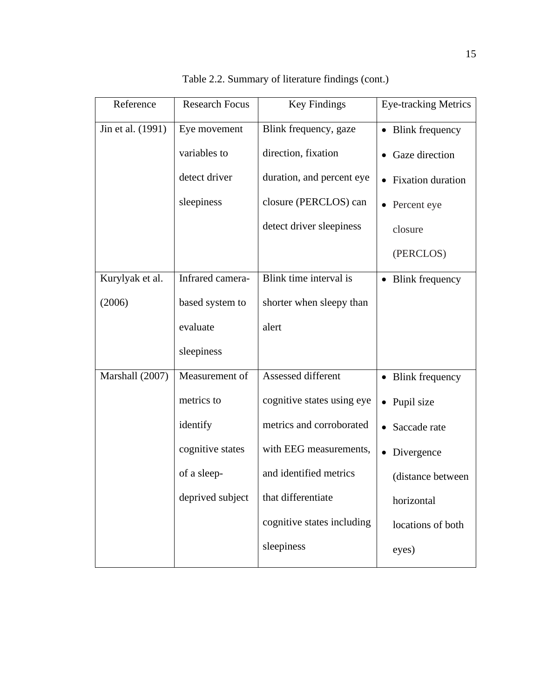| Reference         | <b>Research Focus</b> | <b>Key Findings</b>        | <b>Eye-tracking Metrics</b>           |
|-------------------|-----------------------|----------------------------|---------------------------------------|
| Jin et al. (1991) | Eye movement          | Blink frequency, gaze      | <b>Blink frequency</b><br>$\bullet$   |
|                   | variables to          | direction, fixation        | Gaze direction                        |
|                   | detect driver         | duration, and percent eye  | <b>Fixation</b> duration<br>$\bullet$ |
|                   | sleepiness            | closure (PERCLOS) can      | • Percent eye                         |
|                   |                       | detect driver sleepiness   | closure                               |
|                   |                       |                            | (PERCLOS)                             |
| Kurylyak et al.   | Infrared camera-      | Blink time interval is     | <b>Blink frequency</b><br>$\bullet$   |
| (2006)            | based system to       | shorter when sleepy than   |                                       |
|                   | evaluate              | alert                      |                                       |
|                   | sleepiness            |                            |                                       |
| Marshall (2007)   | Measurement of        | Assessed different         | • Blink frequency                     |
|                   | metrics to            | cognitive states using eye | • Pupil size                          |
|                   | identify              | metrics and corroborated   | Saccade rate<br>$\bullet$             |
|                   | cognitive states      | with EEG measurements,     | Divergence                            |
|                   | of a sleep-           | and identified metrics     | (distance between                     |
|                   | deprived subject      | that differentiate         | horizontal                            |
|                   |                       | cognitive states including | locations of both                     |
|                   |                       | sleepiness                 | eyes)                                 |

Table 2.2. Summary of literature findings (cont.)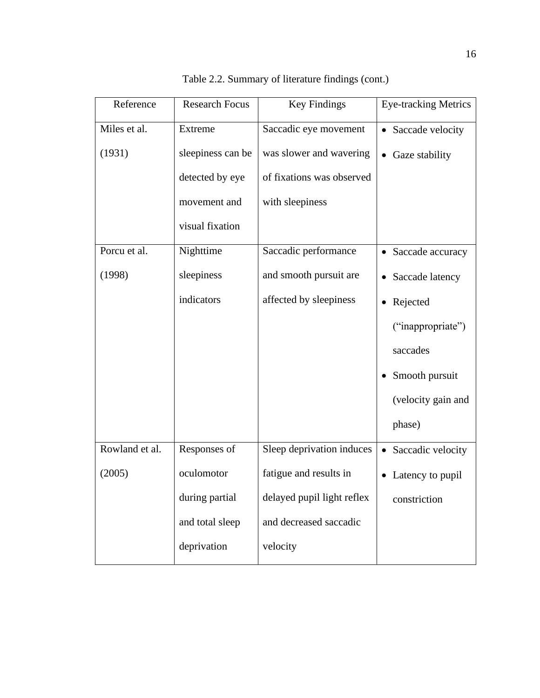| Reference      | <b>Research Focus</b> | <b>Key Findings</b>        | <b>Eye-tracking Metrics</b>   |
|----------------|-----------------------|----------------------------|-------------------------------|
| Miles et al.   | Extreme               | Saccadic eye movement      | Saccade velocity<br>$\bullet$ |
| (1931)         | sleepiness can be     | was slower and wavering    | • Gaze stability              |
|                | detected by eye       | of fixations was observed  |                               |
|                | movement and          | with sleepiness            |                               |
|                | visual fixation       |                            |                               |
| Porcu et al.   | Nighttime             | Saccadic performance       | • Saccade accuracy            |
| (1998)         | sleepiness            | and smooth pursuit are     | Saccade latency<br>$\bullet$  |
|                | indicators            | affected by sleepiness     | Rejected<br>$\bullet$         |
|                |                       |                            | ("inappropriate")             |
|                |                       |                            | saccades                      |
|                |                       |                            | Smooth pursuit                |
|                |                       |                            | (velocity gain and            |
|                |                       |                            | phase)                        |
| Rowland et al. | Responses of          | Sleep deprivation induces  | • Saccadic velocity           |
| (2005)         | oculomotor            | fatigue and results in     | Latency to pupil              |
|                | during partial        | delayed pupil light reflex | constriction                  |
|                | and total sleep       | and decreased saccadic     |                               |
|                | deprivation           | velocity                   |                               |

Table 2.2. Summary of literature findings (cont.)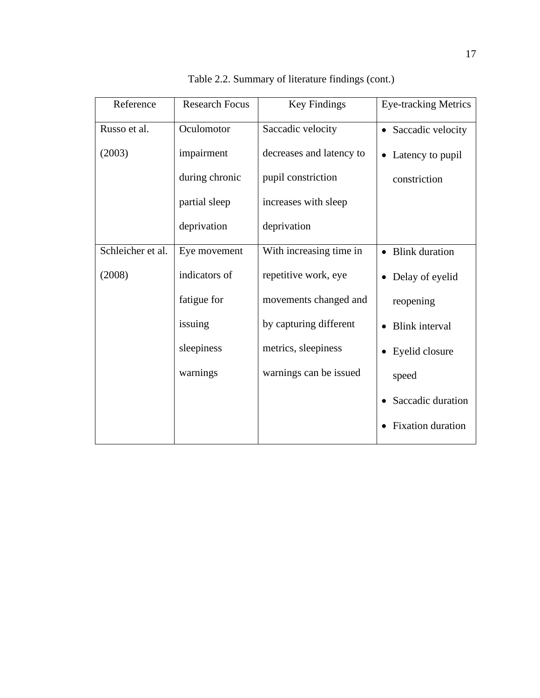| Reference         | <b>Research Focus</b> | <b>Key Findings</b>      | <b>Eye-tracking Metrics</b> |
|-------------------|-----------------------|--------------------------|-----------------------------|
| Russo et al.      | Oculomotor            | Saccadic velocity        | • Saccadic velocity         |
| (2003)            | impairment            | decreases and latency to | Latency to pupil            |
|                   | during chronic        | pupil constriction       | constriction                |
|                   | partial sleep         | increases with sleep     |                             |
|                   | deprivation           | deprivation              |                             |
| Schleicher et al. | Eye movement          | With increasing time in  | • Blink duration            |
| (2008)            | indicators of         | repetitive work, eye     | • Delay of eyelid           |
|                   | fatigue for           | movements changed and    | reopening                   |
|                   | issuing               | by capturing different   | <b>Blink</b> interval       |
|                   | sleepiness            | metrics, sleepiness      | Eyelid closure              |
|                   | warnings              | warnings can be issued   | speed                       |
|                   |                       |                          | Saccadic duration           |
|                   |                       |                          | <b>Fixation</b> duration    |

Table 2.2. Summary of literature findings (cont.)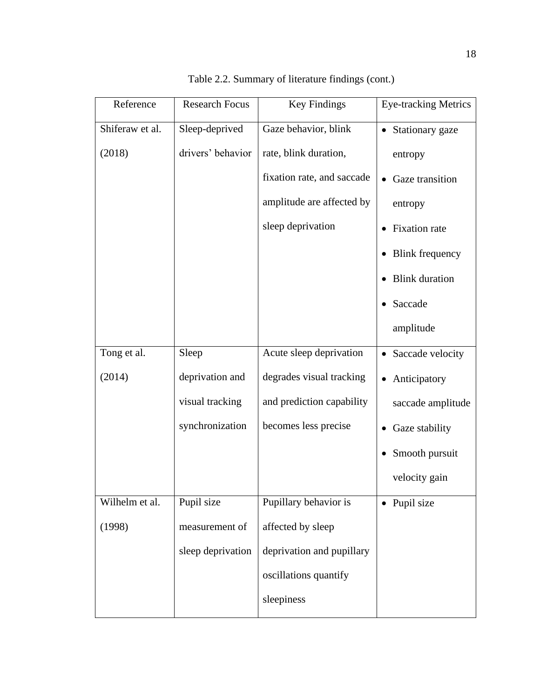| Reference       | <b>Research Focus</b> | <b>Key Findings</b>        | <b>Eye-tracking Metrics</b>       |
|-----------------|-----------------------|----------------------------|-----------------------------------|
| Shiferaw et al. | Sleep-deprived        | Gaze behavior, blink       | Stationary gaze<br>$\bullet$      |
| (2018)          | drivers' behavior     | rate, blink duration,      | entropy                           |
|                 |                       | fixation rate, and saccade | Gaze transition                   |
|                 |                       | amplitude are affected by  | entropy                           |
|                 |                       | sleep deprivation          | <b>Fixation</b> rate<br>$\bullet$ |
|                 |                       |                            | <b>Blink frequency</b>            |
|                 |                       |                            | <b>Blink</b> duration             |
|                 |                       |                            | Saccade                           |
|                 |                       |                            | amplitude                         |
| Tong et al.     | Sleep                 | Acute sleep deprivation    | • Saccade velocity                |
| (2014)          | deprivation and       | degrades visual tracking   | Anticipatory<br>$\bullet$         |
|                 | visual tracking       | and prediction capability  | saccade amplitude                 |
|                 | synchronization       | becomes less precise       | Gaze stability<br>$\bullet$       |
|                 |                       |                            | Smooth pursuit                    |
|                 |                       |                            | velocity gain                     |
| Wilhelm et al.  | Pupil size            | Pupillary behavior is      | • Pupil size                      |
| (1998)          | measurement of        | affected by sleep          |                                   |
|                 | sleep deprivation     | deprivation and pupillary  |                                   |
|                 |                       | oscillations quantify      |                                   |
|                 |                       | sleepiness                 |                                   |

Table 2.2. Summary of literature findings (cont.)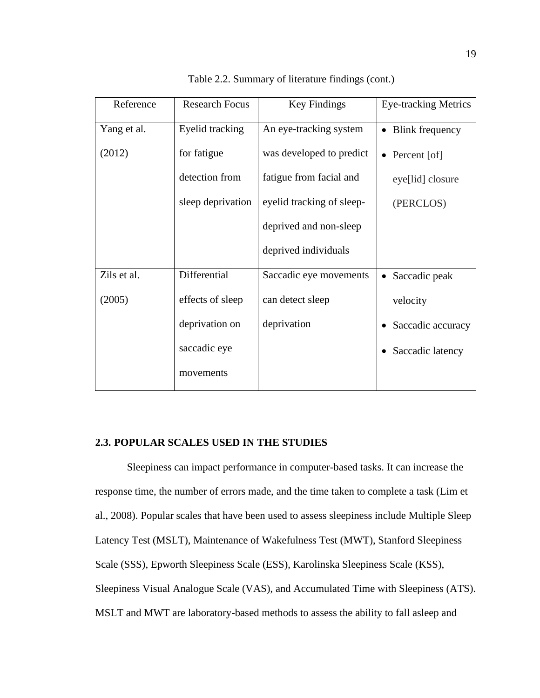| Reference   | <b>Research Focus</b> | Key Findings              | <b>Eye-tracking Metrics</b> |
|-------------|-----------------------|---------------------------|-----------------------------|
| Yang et al. | Eyelid tracking       | An eye-tracking system    |                             |
| (2012)      | for fatigue           | was developed to predict  | Percent [of]<br>$\bullet$   |
|             | detection from        | fatigue from facial and   | eye[lid] closure            |
|             | sleep deprivation     | eyelid tracking of sleep- | (PERCLOS)                   |
|             |                       | deprived and non-sleep    |                             |
|             |                       | deprived individuals      |                             |
| Zils et al. | Differential          | Saccadic eye movements    | Saccadic peak               |
| (2005)      | effects of sleep      | can detect sleep          | velocity                    |
|             | deprivation on        | deprivation               | Saccadic accuracy           |
|             | saccadic eye          |                           | Saccadic latency            |
|             | movements             |                           |                             |

Table 2.2. Summary of literature findings (cont.)

# **2.3. POPULAR SCALES USED IN THE STUDIES**

Sleepiness can impact performance in computer-based tasks. It can increase the response time, the number of errors made, and the time taken to complete a task (Lim et al., 2008). Popular scales that have been used to assess sleepiness include Multiple Sleep Latency Test (MSLT), Maintenance of Wakefulness Test (MWT), Stanford Sleepiness Scale (SSS), Epworth Sleepiness Scale (ESS), Karolinska Sleepiness Scale (KSS), Sleepiness Visual Analogue Scale (VAS), and Accumulated Time with Sleepiness (ATS). MSLT and MWT are laboratory-based methods to assess the ability to fall asleep and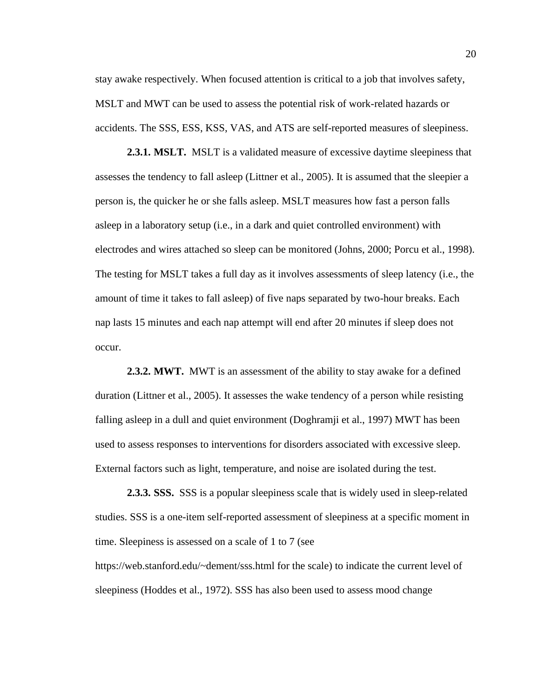stay awake respectively. When focused attention is critical to a job that involves safety, MSLT and MWT can be used to assess the potential risk of work-related hazards or accidents. The SSS, ESS, KSS, VAS, and ATS are self-reported measures of sleepiness.

**2.3.1. MSLT.** MSLT is a validated measure of excessive daytime sleepiness that assesses the tendency to fall asleep (Littner et al., 2005). It is assumed that the sleepier a person is, the quicker he or she falls asleep. MSLT measures how fast a person falls asleep in a laboratory setup (i.e., in a dark and quiet controlled environment) with electrodes and wires attached so sleep can be monitored (Johns, 2000; Porcu et al., 1998). The testing for MSLT takes a full day as it involves assessments of sleep latency (i.e., the amount of time it takes to fall asleep) of five naps separated by two-hour breaks. Each nap lasts 15 minutes and each nap attempt will end after 20 minutes if sleep does not occur.

**2.3.2. MWT.** MWT is an assessment of the ability to stay awake for a defined duration (Littner et al., 2005). It assesses the wake tendency of a person while resisting falling asleep in a dull and quiet environment (Doghramji et al., 1997) MWT has been used to assess responses to interventions for disorders associated with excessive sleep. External factors such as light, temperature, and noise are isolated during the test.

**2.3.3. SSS.** SSS is a popular sleepiness scale that is widely used in sleep-related studies. SSS is a one-item self-reported assessment of sleepiness at a specific moment in time. Sleepiness is assessed on a scale of 1 to 7 (see https://web.stanford.edu/~dement/sss.html for the scale) to indicate the current level of sleepiness (Hoddes et al., 1972). SSS has also been used to assess mood change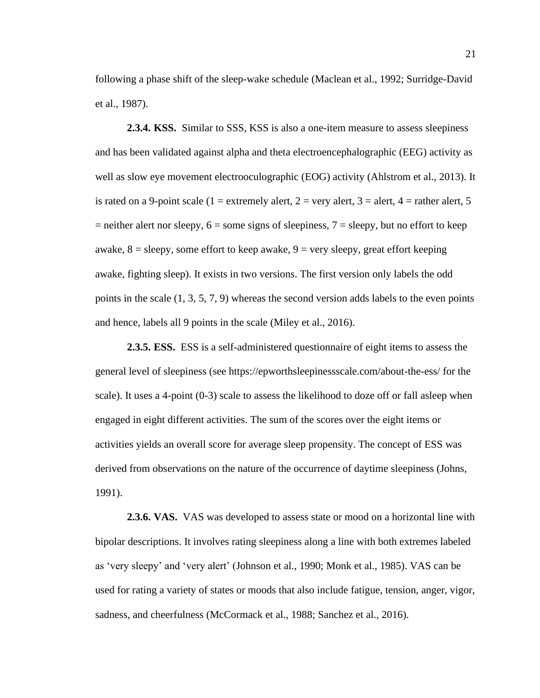following a phase shift of the sleep-wake schedule (Maclean et al., 1992; Surridge-David et al., 1987).

**2.3.4. KSS.** Similar to SSS, KSS is also a one-item measure to assess sleepiness and has been validated against alpha and theta electroencephalographic (EEG) activity as well as slow eye movement electrooculographic (EOG) activity (Ahlstrom et al., 2013). It is rated on a 9-point scale (1 = extremely alert, 2 = very alert, 3 = alert, 4 = rather alert, 5  $=$  neither alert nor sleepy,  $6 =$  some signs of sleepiness,  $7 =$  sleepy, but no effort to keep awake,  $8 =$  sleepy, some effort to keep awake,  $9 =$  very sleepy, great effort keeping awake, fighting sleep). It exists in two versions. The first version only labels the odd points in the scale  $(1, 3, 5, 7, 9)$  whereas the second version adds labels to the even points and hence, labels all 9 points in the scale (Miley et al., 2016).

**2.3.5. ESS.** ESS is a self-administered questionnaire of eight items to assess the general level of sleepiness (see https://epworthsleepinessscale.com/about-the-ess/ for the scale). It uses a 4-point (0-3) scale to assess the likelihood to doze off or fall asleep when engaged in eight different activities. The sum of the scores over the eight items or activities yields an overall score for average sleep propensity. The concept of ESS was derived from observations on the nature of the occurrence of daytime sleepiness (Johns, 1991).

**2.3.6. VAS.** VAS was developed to assess state or mood on a horizontal line with bipolar descriptions. It involves rating sleepiness along a line with both extremes labeled as 'very sleepy' and 'very alert' (Johnson et al., 1990; Monk et al., 1985). VAS can be used for rating a variety of states or moods that also include fatigue, tension, anger, vigor, sadness, and cheerfulness (McCormack et al., 1988; Sanchez et al., 2016).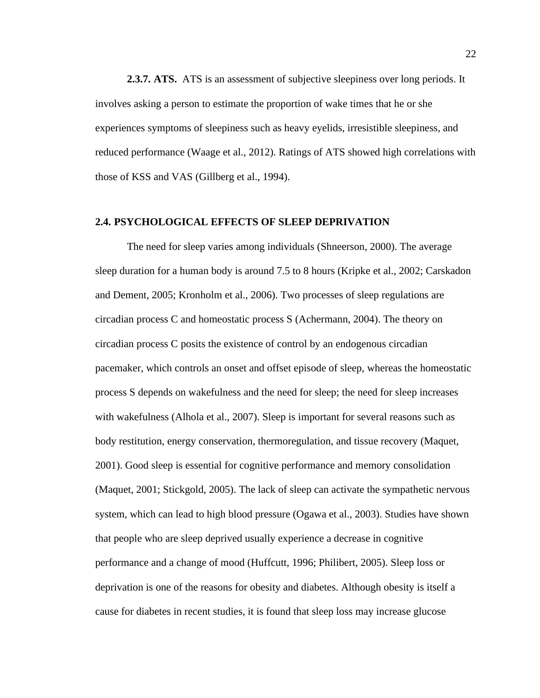**2.3.7. ATS.** ATS is an assessment of subjective sleepiness over long periods. It involves asking a person to estimate the proportion of wake times that he or she experiences symptoms of sleepiness such as heavy eyelids, irresistible sleepiness, and reduced performance (Waage et al., 2012). Ratings of ATS showed high correlations with those of KSS and VAS (Gillberg et al., 1994).

#### **2.4. PSYCHOLOGICAL EFFECTS OF SLEEP DEPRIVATION**

The need for sleep varies among individuals (Shneerson, 2000). The average sleep duration for a human body is around 7.5 to 8 hours (Kripke et al., 2002; Carskadon and Dement, 2005; Kronholm et al., 2006). Two processes of sleep regulations are circadian process C and homeostatic process S (Achermann, 2004). The theory on circadian process C posits the existence of control by an endogenous circadian pacemaker, which controls an onset and offset episode of sleep, whereas the homeostatic process S depends on wakefulness and the need for sleep; the need for sleep increases with wakefulness (Alhola et al., 2007). Sleep is important for several reasons such as body restitution, energy conservation, thermoregulation, and tissue recovery (Maquet, 2001). Good sleep is essential for cognitive performance and memory consolidation (Maquet, 2001; Stickgold, 2005). The lack of sleep can activate the sympathetic nervous system, which can lead to high blood pressure (Ogawa et al., 2003). Studies have shown that people who are sleep deprived usually experience a decrease in cognitive performance and a change of mood (Huffcutt, 1996; Philibert, 2005). Sleep loss or deprivation is one of the reasons for obesity and diabetes. Although obesity is itself a cause for diabetes in recent studies, it is found that sleep loss may increase glucose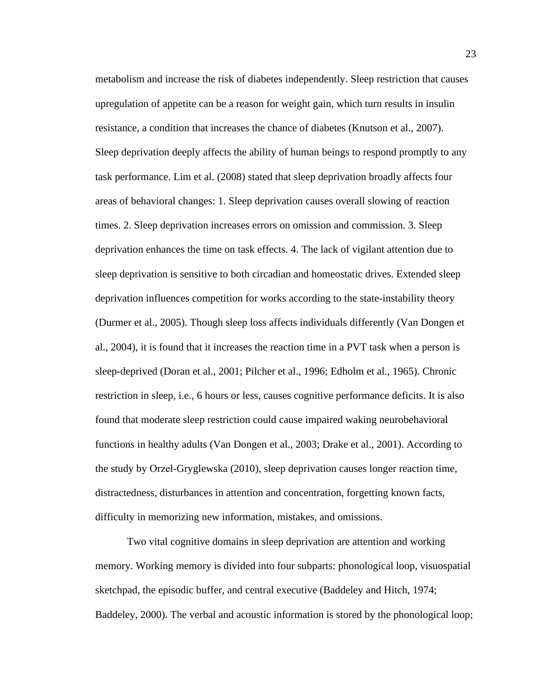metabolism and increase the risk of diabetes independently. Sleep restriction that causes upregulation of appetite can be a reason for weight gain, which turn results in insulin resistance, a condition that increases the chance of diabetes (Knutson et al., 2007). Sleep deprivation deeply affects the ability of human beings to respond promptly to any task performance. Lim et al. (2008) stated that sleep deprivation broadly affects four areas of behavioral changes: 1. Sleep deprivation causes overall slowing of reaction times. 2. Sleep deprivation increases errors on omission and commission. 3. Sleep deprivation enhances the time on task effects. 4. The lack of vigilant attention due to sleep deprivation is sensitive to both circadian and homeostatic drives. Extended sleep deprivation influences competition for works according to the state-instability theory (Durmer et al., 2005). Though sleep loss affects individuals differently (Van Dongen et al., 2004), it is found that it increases the reaction time in a PVT task when a person is sleep-deprived (Doran et al., 2001; Pilcher et al., 1996; Edholm et al., 1965). Chronic restriction in sleep, i.e., 6 hours or less, causes cognitive performance deficits. It is also found that moderate sleep restriction could cause impaired waking neurobehavioral functions in healthy adults (Van Dongen et al., 2003; Drake et al., 2001). According to the study by Orzeł-Gryglewska (2010), sleep deprivation causes longer reaction time, distractedness, disturbances in attention and concentration, forgetting known facts, difficulty in memorizing new information, mistakes, and omissions.

Two vital cognitive domains in sleep deprivation are attention and working memory. Working memory is divided into four subparts: phonological loop, visuospatial sketchpad, the episodic buffer, and central executive (Baddeley and Hitch, 1974; Baddeley, 2000). The verbal and acoustic information is stored by the phonological loop;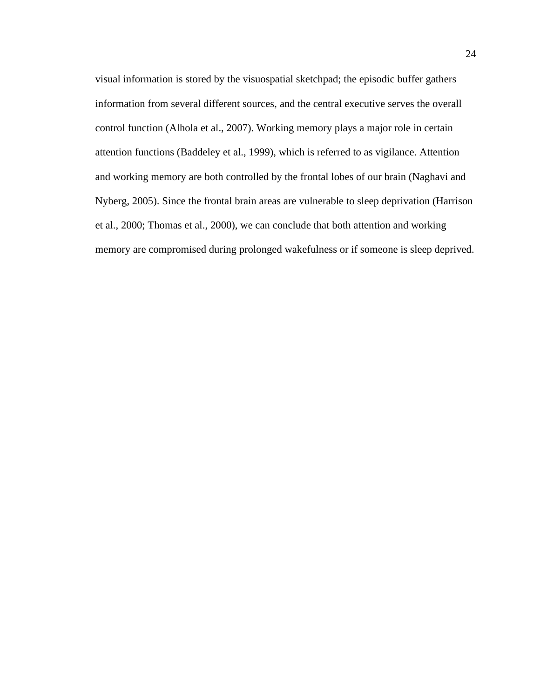visual information is stored by the visuospatial sketchpad; the episodic buffer gathers information from several different sources, and the central executive serves the overall control function (Alhola et al., 2007). Working memory plays a major role in certain attention functions (Baddeley et al., 1999), which is referred to as vigilance. Attention and working memory are both controlled by the frontal lobes of our brain (Naghavi and Nyberg, 2005). Since the frontal brain areas are vulnerable to sleep deprivation (Harrison et al., 2000; Thomas et al., 2000), we can conclude that both attention and working memory are compromised during prolonged wakefulness or if someone is sleep deprived.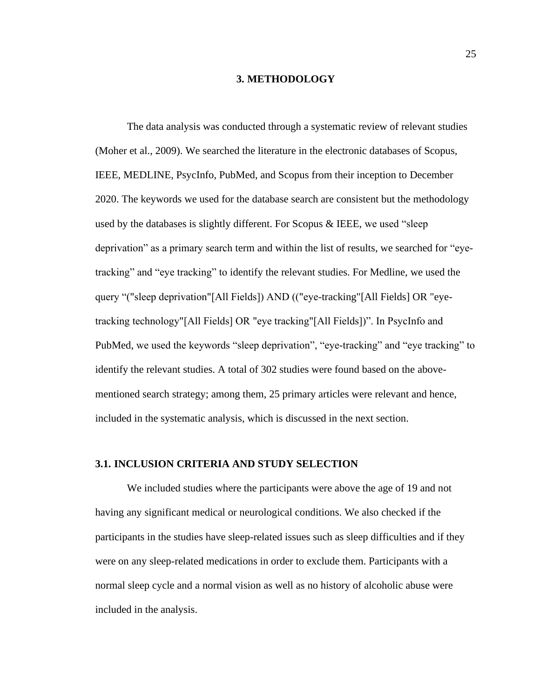#### **3. METHODOLOGY**

The data analysis was conducted through a systematic review of relevant studies (Moher et al., 2009). We searched the literature in the electronic databases of Scopus, IEEE, MEDLINE, PsycInfo, PubMed, and Scopus from their inception to December 2020. The keywords we used for the database search are consistent but the methodology used by the databases is slightly different. For Scopus & IEEE, we used "sleep deprivation" as a primary search term and within the list of results, we searched for "eyetracking" and "eye tracking" to identify the relevant studies. For Medline, we used the query "("sleep deprivation"[All Fields]) AND (("eye-tracking"[All Fields] OR "eyetracking technology"[All Fields] OR "eye tracking"[All Fields])". In PsycInfo and PubMed, we used the keywords "sleep deprivation", "eye-tracking" and "eye tracking" to identify the relevant studies. A total of 302 studies were found based on the abovementioned search strategy; among them, 25 primary articles were relevant and hence, included in the systematic analysis, which is discussed in the next section.

#### **3.1. INCLUSION CRITERIA AND STUDY SELECTION**

We included studies where the participants were above the age of 19 and not having any significant medical or neurological conditions. We also checked if the participants in the studies have sleep-related issues such as sleep difficulties and if they were on any sleep-related medications in order to exclude them. Participants with a normal sleep cycle and a normal vision as well as no history of alcoholic abuse were included in the analysis.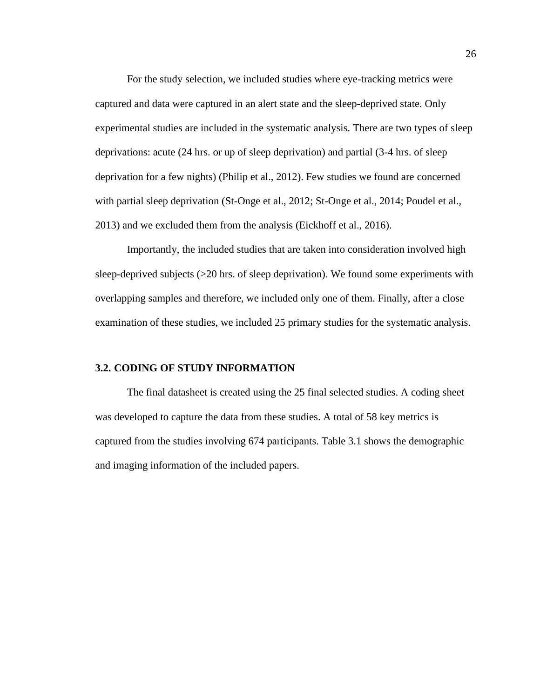For the study selection, we included studies where eye-tracking metrics were captured and data were captured in an alert state and the sleep-deprived state. Only experimental studies are included in the systematic analysis. There are two types of sleep deprivations: acute (24 hrs. or up of sleep deprivation) and partial (3-4 hrs. of sleep deprivation for a few nights) (Philip et al., 2012). Few studies we found are concerned with partial sleep deprivation (St-Onge et al., 2012; St-Onge et al., 2014; Poudel et al., 2013) and we excluded them from the analysis (Eickhoff et al., 2016).

Importantly, the included studies that are taken into consideration involved high sleep-deprived subjects  $\geq 20$  hrs. of sleep deprivation). We found some experiments with overlapping samples and therefore, we included only one of them. Finally, after a close examination of these studies, we included 25 primary studies for the systematic analysis.

#### **3.2. CODING OF STUDY INFORMATION**

The final datasheet is created using the 25 final selected studies. A coding sheet was developed to capture the data from these studies. A total of 58 key metrics is captured from the studies involving 674 participants. Table 3.1 shows the demographic and imaging information of the included papers.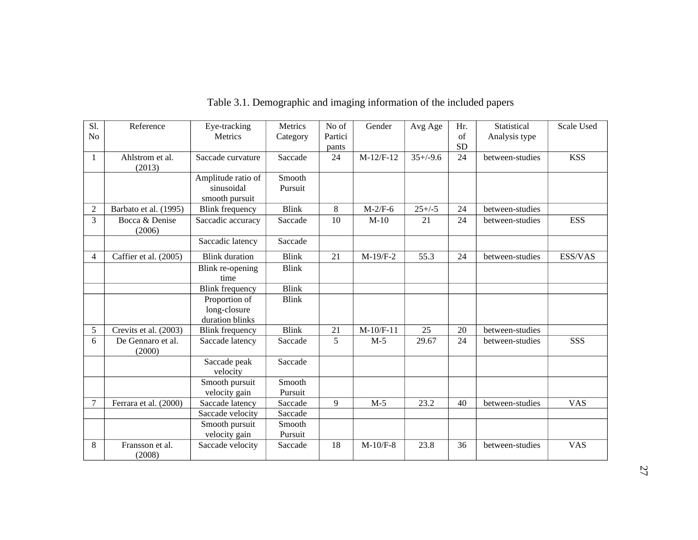| Sl.            | Reference                   | Eye-tracking                                       | Metrics           | No of   | Gender      | Avg Age     | Hr.       | Statistical     | Scale Used |
|----------------|-----------------------------|----------------------------------------------------|-------------------|---------|-------------|-------------|-----------|-----------------|------------|
| N <sub>o</sub> |                             | Metrics                                            | Category          | Partici |             |             | of        | Analysis type   |            |
|                |                             |                                                    |                   | pants   |             |             | <b>SD</b> |                 |            |
| 1              | Ahlstrom et al.<br>(2013)   | Saccade curvature                                  | Saccade           | 24      | $M-12/F-12$ | $35+/9.6$   | 24        | between-studies | <b>KSS</b> |
|                |                             | Amplitude ratio of<br>sinusoidal<br>smooth pursuit | Smooth<br>Pursuit |         |             |             |           |                 |            |
| 2              | Barbato et al. (1995)       | <b>Blink frequency</b>                             | <b>Blink</b>      | 8       | $M-2/F-6$   | $25 + (-5)$ | 24        | between-studies |            |
| 3              | Bocca & Denise<br>(2006)    | Saccadic accuracy                                  | Saccade           | 10      | $M-10$      | 21          | 24        | between-studies | <b>ESS</b> |
|                |                             | Saccadic latency                                   | Saccade           |         |             |             |           |                 |            |
| 4              | Caffier et al. (2005)       | <b>Blink</b> duration                              | <b>Blink</b>      | 21      | $M-19/F-2$  | 55.3        | 24        | between-studies | ESS/VAS    |
|                |                             | Blink re-opening<br>time                           | <b>Blink</b>      |         |             |             |           |                 |            |
|                |                             | <b>Blink</b> frequency                             | <b>Blink</b>      |         |             |             |           |                 |            |
|                |                             | Proportion of<br>long-closure<br>duration blinks   | <b>Blink</b>      |         |             |             |           |                 |            |
| 5              | Crevits et al. (2003)       | <b>Blink frequency</b>                             | <b>Blink</b>      | 21      | $M-10/F-11$ | 25          | 20        | between-studies |            |
| 6              | De Gennaro et al.<br>(2000) | Saccade latency                                    | Saccade           | 5       | $M-5$       | 29.67       | 24        | between-studies | SSS        |
|                |                             | Saccade peak<br>velocity                           | Saccade           |         |             |             |           |                 |            |
|                |                             | Smooth pursuit<br>velocity gain                    | Smooth<br>Pursuit |         |             |             |           |                 |            |
| 7              | Ferrara et al. (2000)       | Saccade latency                                    | Saccade           | 9       | $M-5$       | 23.2        | 40        | between-studies | <b>VAS</b> |
|                |                             | Saccade velocity                                   | Saccade           |         |             |             |           |                 |            |
|                |                             | Smooth pursuit<br>velocity gain                    | Smooth<br>Pursuit |         |             |             |           |                 |            |
| 8              | Fransson et al.<br>(2008)   | Saccade velocity                                   | Saccade           | 18      | $M-10/F-8$  | 23.8        | 36        | between-studies | <b>VAS</b> |

# Table 3.1. Demographic and imaging information of the included papers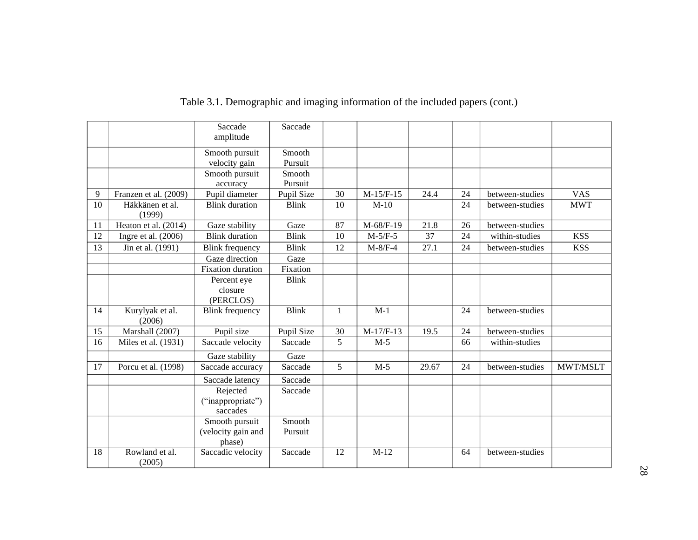|    |                           | Saccade<br>amplitude                           | Saccade           |              |             |       |    |                 |            |
|----|---------------------------|------------------------------------------------|-------------------|--------------|-------------|-------|----|-----------------|------------|
|    |                           | Smooth pursuit<br>velocity gain                | Smooth<br>Pursuit |              |             |       |    |                 |            |
|    |                           | Smooth pursuit<br>accuracy                     | Smooth<br>Pursuit |              |             |       |    |                 |            |
| 9  | Franzen et al. (2009)     | Pupil diameter                                 | Pupil Size        | 30           | $M-15/F-15$ | 24.4  | 24 | between-studies | <b>VAS</b> |
| 10 | Häkkänen et al.<br>(1999) | <b>Blink</b> duration                          | <b>Blink</b>      | 10           | $M-10$      |       | 24 | between-studies | <b>MWT</b> |
| 11 | Heaton et al. (2014)      | Gaze stability                                 | Gaze              | 87           | M-68/F-19   | 21.8  | 26 | between-studies |            |
| 12 | Ingre et al. $(2006)$     | <b>Blink</b> duration                          | <b>Blink</b>      | 10           | $M-5/F-5$   | 37    | 24 | within-studies  | <b>KSS</b> |
| 13 | Jin et al. (1991)         | <b>Blink frequency</b>                         | <b>Blink</b>      | 12           | $M-8/F-4$   | 27.1  | 24 | between-studies | <b>KSS</b> |
|    |                           | Gaze direction                                 | Gaze              |              |             |       |    |                 |            |
|    |                           | <b>Fixation</b> duration                       | Fixation          |              |             |       |    |                 |            |
|    |                           | Percent eye                                    | <b>Blink</b>      |              |             |       |    |                 |            |
|    |                           | closure<br>(PERCLOS)                           |                   |              |             |       |    |                 |            |
| 14 | Kurylyak et al.<br>(2006) | <b>Blink frequency</b>                         | <b>Blink</b>      | $\mathbf{1}$ | $M-1$       |       | 24 | between-studies |            |
| 15 | Marshall (2007)           | Pupil size                                     | Pupil Size        | 30           | $M-17/F-13$ | 19.5  | 24 | between-studies |            |
| 16 | Miles et al. (1931)       | Saccade velocity                               | Saccade           | 5            | $M-5$       |       | 66 | within-studies  |            |
|    |                           | Gaze stability                                 | Gaze              |              |             |       |    |                 |            |
| 17 | Porcu et al. (1998)       | Saccade accuracy                               | Saccade           | 5            | $M-5$       | 29.67 | 24 | between-studies | MWT/MSLT   |
|    |                           | Saccade latency                                | Saccade           |              |             |       |    |                 |            |
|    |                           | Rejected<br>("inappropriate")<br>saccades      | Saccade           |              |             |       |    |                 |            |
|    |                           | Smooth pursuit<br>(velocity gain and<br>phase) | Smooth<br>Pursuit |              |             |       |    |                 |            |
| 18 | Rowland et al.<br>(2005)  | Saccadic velocity                              | Saccade           | 12           | $M-12$      |       | 64 | between-studies |            |

# Table 3.1. Demographic and imaging information of the included papers (cont.)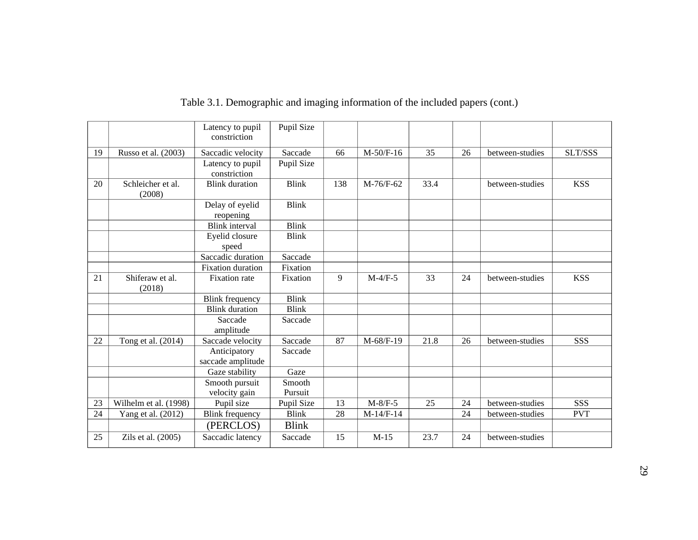|    |                             | Latency to pupil<br>constriction  | Pupil Size        |     |             |      |    |                 |            |
|----|-----------------------------|-----------------------------------|-------------------|-----|-------------|------|----|-----------------|------------|
| 19 | Russo et al. (2003)         | Saccadic velocity                 | Saccade           | 66  | $M-50/F-16$ | 35   | 26 | between-studies | SLT/SSS    |
|    |                             | Latency to pupil<br>constriction  | Pupil Size        |     |             |      |    |                 |            |
| 20 | Schleicher et al.<br>(2008) | <b>Blink</b> duration             | <b>Blink</b>      | 138 | M-76/F-62   | 33.4 |    | between-studies | <b>KSS</b> |
|    |                             | Delay of eyelid<br>reopening      | <b>Blink</b>      |     |             |      |    |                 |            |
|    |                             | <b>Blink</b> interval             | <b>Blink</b>      |     |             |      |    |                 |            |
|    |                             | Eyelid closure<br>speed           | <b>Blink</b>      |     |             |      |    |                 |            |
|    |                             | Saccadic duration                 | Saccade           |     |             |      |    |                 |            |
|    |                             | <b>Fixation</b> duration          | Fixation          |     |             |      |    |                 |            |
| 21 | Shiferaw et al.<br>(2018)   | <b>Fixation</b> rate              | Fixation          | 9   | $M-4/F-5$   | 33   | 24 | between-studies | <b>KSS</b> |
|    |                             | <b>Blink frequency</b>            | <b>Blink</b>      |     |             |      |    |                 |            |
|    |                             | <b>Blink</b> duration             | <b>Blink</b>      |     |             |      |    |                 |            |
|    |                             | Saccade<br>amplitude              | Saccade           |     |             |      |    |                 |            |
| 22 | Tong et al. (2014)          | Saccade velocity                  | Saccade           | 87  | M-68/F-19   | 21.8 | 26 | between-studies | SSS        |
|    |                             | Anticipatory<br>saccade amplitude | Saccade           |     |             |      |    |                 |            |
|    |                             | Gaze stability                    | Gaze              |     |             |      |    |                 |            |
|    |                             | Smooth pursuit<br>velocity gain   | Smooth<br>Pursuit |     |             |      |    |                 |            |
| 23 | Wilhelm et al. (1998)       | Pupil size                        | Pupil Size        | 13  | $M-8/F-5$   | 25   | 24 | between-studies | SSS        |
| 24 | Yang et al. (2012)          | <b>Blink</b> frequency            | <b>Blink</b>      | 28  | $M-14/F-14$ |      | 24 | between-studies | <b>PVT</b> |
|    |                             | (PERCLOS)                         | <b>Blink</b>      |     |             |      |    |                 |            |
| 25 | Zils et al. (2005)          | Saccadic latency                  | Saccade           | 15  | $M-15$      | 23.7 | 24 | between-studies |            |

# Table 3.1. Demographic and imaging information of the included papers (cont.)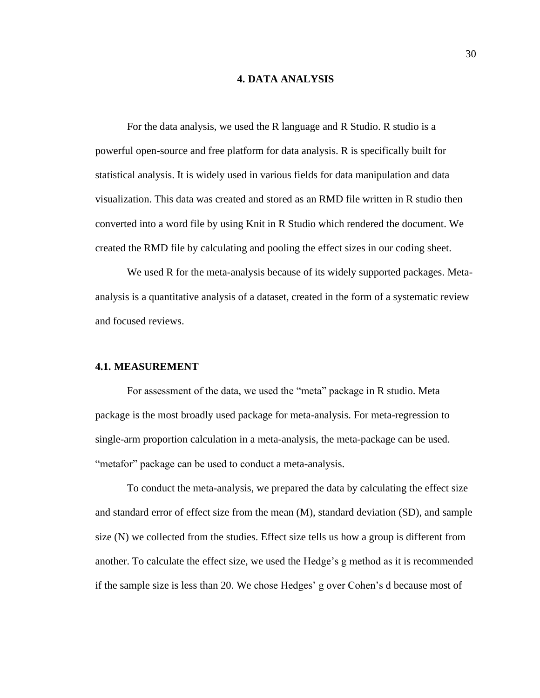#### **4. DATA ANALYSIS**

For the data analysis, we used the R language and R Studio. R studio is a powerful open-source and free platform for data analysis. R is specifically built for statistical analysis. It is widely used in various fields for data manipulation and data visualization. This data was created and stored as an RMD file written in R studio then converted into a word file by using Knit in R Studio which rendered the document. We created the RMD file by calculating and pooling the effect sizes in our coding sheet.

We used R for the meta-analysis because of its widely supported packages. Metaanalysis is a quantitative analysis of a dataset, created in the form of a systematic review and focused reviews.

#### **4.1. MEASUREMENT**

For assessment of the data, we used the "meta" package in R studio. Meta package is the most broadly used package for meta-analysis. For meta-regression to single-arm proportion calculation in a meta-analysis, the meta-package can be used. "metafor" package can be used to conduct a meta-analysis.

To conduct the meta-analysis, we prepared the data by calculating the effect size and standard error of effect size from the mean (M), standard deviation (SD), and sample size (N) we collected from the studies. Effect size tells us how a group is different from another. To calculate the effect size, we used the Hedge's g method as it is recommended if the sample size is less than 20. We chose Hedges' g over Cohen's d because most of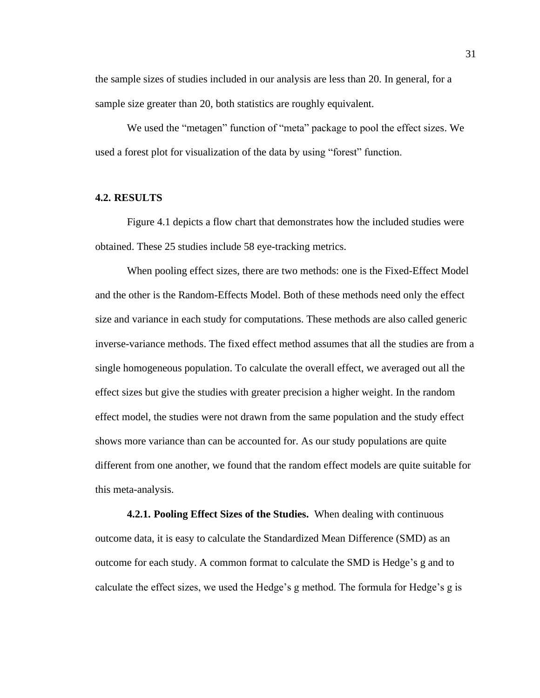the sample sizes of studies included in our analysis are less than 20. In general, for a sample size greater than 20, both statistics are roughly equivalent.

We used the "metagen" function of "meta" package to pool the effect sizes. We used a forest plot for visualization of the data by using "forest" function.

#### **4.2. RESULTS**

Figure 4.1 depicts a flow chart that demonstrates how the included studies were obtained. These 25 studies include 58 eye-tracking metrics.

When pooling effect sizes, there are two methods: one is the Fixed-Effect Model and the other is the Random-Effects Model. Both of these methods need only the effect size and variance in each study for computations. These methods are also called generic inverse-variance methods. The fixed effect method assumes that all the studies are from a single homogeneous population. To calculate the overall effect, we averaged out all the effect sizes but give the studies with greater precision a higher weight. In the random effect model, the studies were not drawn from the same population and the study effect shows more variance than can be accounted for. As our study populations are quite different from one another, we found that the random effect models are quite suitable for this meta-analysis.

**4.2.1. Pooling Effect Sizes of the Studies.** When dealing with continuous outcome data, it is easy to calculate the Standardized Mean Difference (SMD) as an outcome for each study. A common format to calculate the SMD is Hedge's g and to calculate the effect sizes, we used the Hedge's g method. The formula for Hedge's g is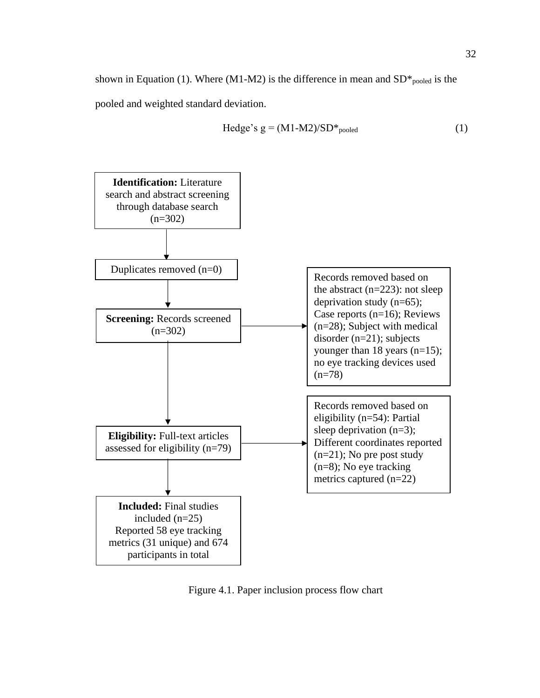shown in Equation (1). Where (M1-M2) is the difference in mean and  $SD*_{pooled}$  is the pooled and weighted standard deviation.

$$
Hedge's g = (M1-M2)/SD*_{pooled}
$$
 (1)



Figure 4.1. Paper inclusion process flow chart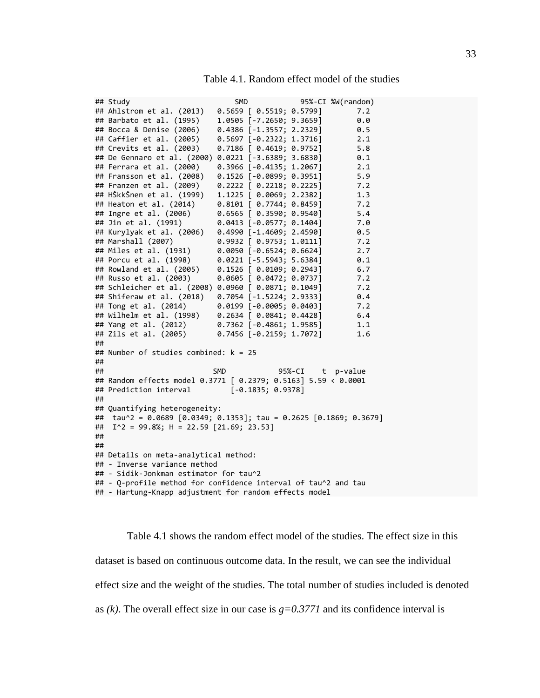| Table 4.1. Random effect model of the studies |  |  |  |  |  |  |
|-----------------------------------------------|--|--|--|--|--|--|
|-----------------------------------------------|--|--|--|--|--|--|

|    | ## Study                                                       | <b>SMD</b>                       |                  | 95%-CI %W(random) |
|----|----------------------------------------------------------------|----------------------------------|------------------|-------------------|
|    | ## Ahlstrom et al. (2013)                                      | 0.5659 [ 0.5519; 0.5799]         |                  | 7.2               |
|    | ## Barbato et al. (1995)                                       | 1.0505 [-7.2650; 9.3659]         |                  | 0.0               |
|    | ## Bocca & Denise (2006)                                       | 0.4386 [-1.3557; 2.2329]         |                  | 0.5               |
|    | ## Caffier et al. (2005)                                       | $0.5697$ $[-0.2322; 1.3716]$     |                  | 2.1               |
|    | ## Crevits et al. (2003)                                       | 0.7186 [ 0.4619; 0.9752]         |                  | 5.8               |
|    | ## De Gennaro et al. (2000)                                    | $0.0221$ [-3.6389; 3.6830]       |                  | 0.1               |
|    | ## Ferrara et al. (2000)                                       | 0.3966 [-0.4135; 1.2067]         |                  | 2.1               |
|    | ## Fransson et al. (2008)                                      | $0.1526$ [-0.0899; 0.3951]       |                  | 5.9               |
|    | ## Franzen et al. (2009)                                       | $0.2222$ [ $0.2218$ ; $0.2225$ ] |                  | 7.2               |
|    | ## HŠkkŠnen et al. (1999)                                      | 1.1225 [ 0.0069; 2.2382]         |                  | 1.3               |
|    | ## Heaton et al. (2014)                                        | $0.8101$ [ $0.7744$ ; $0.8459$ ] |                  | 7.2               |
|    | ## Ingre et al. (2006)                                         | $0.6565$ $[ 0.3590; 0.9540 ]$    |                  | 5.4               |
|    | ## Jin et al. (1991)                                           | $0.0413$ [-0.0577; 0.1404]       |                  | 7.0               |
|    | ## Kurylyak et al. (2006)                                      | $0.4990$ [-1.4609; 2.4590]       |                  | 0.5               |
|    | ## Marshall (2007)                                             | $0.9932$ [ $0.9753$ ; 1.0111]    |                  | 7.2               |
|    | ## Miles et al. (1931)                                         | $0.0050$ [-0.6524; 0.6624]       |                  | 2.7               |
|    | ## Porcu et al. (1998)                                         | $0.0221$ [-5.5943; 5.6384]       |                  | 0.1               |
|    | ## Rowland et al. (2005)                                       | 0.1526 [ 0.0109; 0.2943]         |                  | 6.7               |
|    | ## Russo et al. (2003)                                         | $0.0605$ [ $0.0472$ ; $0.0737$ ] |                  | 7.2               |
|    | ## Schleicher et al. (2008)                                    | $0.0960$ [ $0.0871$ ; $0.1049$ ] |                  | 7.2               |
|    | ## Shiferaw et al. (2018)                                      | $0.7054$ [-1.5224; 2.9333]       |                  | 0.4               |
|    | ## Tong et al. (2014)                                          | 0.0199 [-0.0005; 0.0403]         |                  | 7.2               |
|    | ## Wilhelm et al. (1998)                                       | $0.2634$ [ $0.0841$ ; $0.4428$ ] |                  | 6.4               |
|    | ## Yang et al. (2012)                                          | $0.7362$ [-0.4861; 1.9585]       |                  | 1.1               |
|    | ## Zils et al. (2005)                                          | $0.7456$ [-0.2159; 1.7072]       |                  | 1.6               |
| ## |                                                                |                                  |                  |                   |
|    | ## Number of studies combined: $k = 25$                        |                                  |                  |                   |
| ## |                                                                |                                  |                  |                   |
| ## |                                                                | <b>SMD</b>                       | 95%-CI t p-value |                   |
|    | ## Random effects model 0.3771 [ 0.2379; 0.5163] 5.59 < 0.0001 |                                  |                  |                   |
|    | ## Prediction interval                                         | $[-0.1835; 0.9378]$              |                  |                   |
| ## |                                                                |                                  |                  |                   |
|    | ## Quantifying heterogeneity:                                  |                                  |                  |                   |
| ## | tau^2 = 0.0689 [0.0349; 0.1353]; tau = 0.2625 [0.1869; 0.3679] |                                  |                  |                   |
| ## | $I^2$ = 99.8%; H = 22.59 [21.69; 23.53]                        |                                  |                  |                   |
| ## |                                                                |                                  |                  |                   |
| ## |                                                                |                                  |                  |                   |
|    | ## Details on meta-analytical method:                          |                                  |                  |                   |
|    | ## - Inverse variance method                                   |                                  |                  |                   |
|    | ## - Sidik-Jonkman estimator for tau^2                         |                                  |                  |                   |
|    | ## - Q-profile method for confidence interval of tau^2 and tau |                                  |                  |                   |
|    | ## - Hartung-Knapp adjustment for random effects model         |                                  |                  |                   |

Table 4.1 shows the random effect model of the studies. The effect size in this dataset is based on continuous outcome data. In the result, we can see the individual effect size and the weight of the studies. The total number of studies included is denoted as *(k)*. The overall effect size in our case is *g=0.3771* and its confidence interval is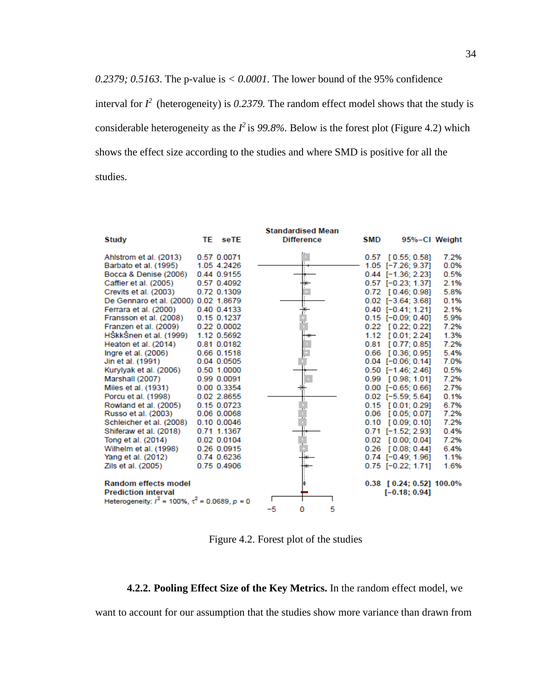*0.2379; 0.5163*. The p-value is  $\lt 0.0001$ . The lower bound of the 95% confidence interval for  $I^2$  (heterogeneity) is 0.2379. The random effect model shows that the study is considerable heterogeneity as the  $I^2$  is 99.8%. Below is the forest plot (Figure 4.2) which shows the effect size according to the studies and where SMD is positive for all the studies.

|                                                       |    |             |    | <b>Standardised Mean</b> |   |      |                             |      |
|-------------------------------------------------------|----|-------------|----|--------------------------|---|------|-----------------------------|------|
| Study                                                 | TE | seTE        |    | <b>Difference</b>        |   | SMD  | 95%-CI Weight               |      |
| Ahlstrom et al. (2013)                                |    | 0.57 0.0071 |    |                          |   |      | $0.57$ [ $0.55$ ; $0.58$ ]  | 7.2% |
| Barbato et al. (1995)                                 |    | 1.05 4.2426 |    |                          |   |      | 1.05 [-7.26; 9.37]          | 0.0% |
| Bocca & Denise (2006)                                 |    | 0.44 0.9155 |    |                          |   |      | $0.44$ [-1.36; 2.23]        | 0.5% |
| Caffier et al. (2005)                                 |    | 0.57 0.4092 |    |                          |   |      | $0.57$ $[-0.23; 1.37]$      | 2.1% |
| Crevits et al. (2003)                                 |    | 0.72 0.1309 |    |                          |   |      | $0.72$ [ $0.46$ ; $0.98$ ]  | 5.8% |
| De Gennaro et al. (2000) 0.02 1.8679                  |    |             |    |                          |   |      | $0.02$ $[-3.64:3.68]$       | 0.1% |
| Ferrara et al. (2000)                                 |    | 0.40 0.4133 |    |                          |   |      | $0.40$ $[-0.41; 1.21]$      | 2.1% |
| Fransson et al. (2008)                                |    | 0.15 0.1237 |    |                          |   |      | $0.15$ [-0.09; 0.40]        | 5.9% |
| Franzen et al. (2009)                                 |    | 0.22 0.0002 |    |                          |   |      | $0.22$ [ $0.22$ ; $0.22$ ]  | 7.2% |
| HŠkkŠnen et al. (1999)                                |    | 1.12 0.5692 |    |                          |   |      | 1.12 [0.01; 2.24]           | 1.3% |
| Heaton et al. (2014)                                  |    | 0.81 0.0182 |    |                          |   | 0.81 | [0.77:0.85]                 | 7.2% |
| Ingre et al. (2006)                                   |    | 0.66 0.1518 |    |                          |   |      | $0.66$ [ $0.36$ ; $0.95$ ]  | 5.4% |
| Jin et al. (1991)                                     |    | 0.04 0.0505 |    |                          |   |      | $0.04$ [-0.06; 0.14]        | 7.0% |
| Kurylyak et al. (2006)                                |    | 0.50 1.0000 |    |                          |   |      | $0.50$ [-1.46; 2.46]        | 0.5% |
| Marshall (2007)                                       |    | 0.99 0.0091 |    |                          |   |      | $0.99$ $[0.98; 1.01]$       | 7.2% |
| Miles et al. (1931)                                   |    | 0.00 0.3354 |    |                          |   |      | $0.00$ [-0.65; 0.66]        | 2.7% |
| Porcu et al. (1998)                                   |    | 0.02 2.8655 |    |                          |   |      | $0.02$ $[-5.59; 5.64]$      | 0.1% |
| Rowland et al. (2005)                                 |    | 0.15 0.0723 |    |                          |   |      | $0.15$ [0.01; 0.29]         | 6.7% |
| Russo et al. (2003)                                   |    | 0.06 0.0068 |    |                          |   |      | $0.06$ [0.05; 0.07]         | 7.2% |
| Schleicher et al. (2008)                              |    | 0.10 0.0046 |    |                          |   |      | $0.10$ $[0.09; 0.10]$       | 7.2% |
| Shiferaw et al. (2018)                                |    | 0.71 1.1367 |    |                          |   |      | $0.71$ [-1.52; 2.93]        | 0.4% |
| Tong et al. (2014)                                    |    | 0.02 0.0104 |    |                          |   |      | $0.02$ [0.00; 0.04]         | 7.2% |
| Wilhelm et al. (1998)                                 |    | 0.26 0.0915 |    |                          |   |      | $0.26$ [0.08; 0.44]         | 6.4% |
| Yang et al. (2012)                                    |    | 0.74 0.6236 |    |                          |   |      | $0.74$ [-0.49; 1.96]        | 1.1% |
| Zils et al. (2005)                                    |    | 0.75 0.4906 |    |                          |   |      | $0.75$ [-0.22; 1.71]        | 1.6% |
|                                                       |    |             |    |                          |   |      |                             |      |
| <b>Random effects model</b>                           |    |             |    |                          |   |      | $0.38$ [ 0.24; 0.52] 100.0% |      |
| <b>Prediction interval</b>                            |    |             |    |                          |   |      | $[-0.18:0.94]$              |      |
| Heterogeneity: $l^2$ = 100%, $\tau^2$ = 0.0689, p = 0 |    |             |    |                          |   |      |                             |      |
|                                                       |    |             | -5 | o                        | 5 |      |                             |      |

Figure 4.2. Forest plot of the studies

### **4.2.2. Pooling Effect Size of the Key Metrics.** In the random effect model, we

want to account for our assumption that the studies show more variance than drawn from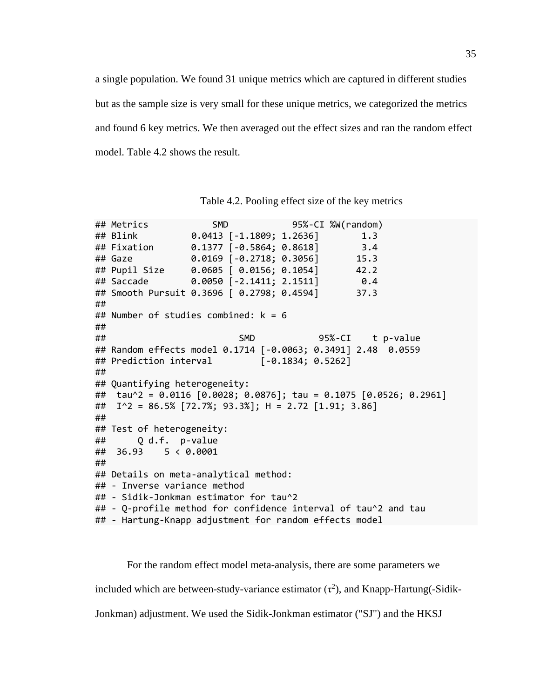a single population. We found 31 unique metrics which are captured in different studies but as the sample size is very small for these unique metrics, we categorized the metrics and found 6 key metrics. We then averaged out the effect sizes and ran the random effect model. Table 4.2 shows the result.

|    | ## Metrics                                              |                            | SMD 95%-CI %W(random)                                                  |
|----|---------------------------------------------------------|----------------------------|------------------------------------------------------------------------|
|    | ## Blink                                                | $0.0413$ [-1.1809; 1.2636] | 1.3                                                                    |
|    | ## Fixation                                             | $0.1377$ [-0.5864; 0.8618] | 3.4                                                                    |
|    | ## Gaze                                                 | $0.0169$ [-0.2718; 0.3056] | 15.3                                                                   |
|    | ## Pupil Size                                           | 0.0605   0.0156; 0.1054]   | 42.2                                                                   |
|    | ## Saccade                                              |                            | $0.0050$ [-2.1411; 2.1511] $0.4$                                       |
|    | ## Smooth Pursuit 0.3696   0.2798; 0.4594]              |                            | 37.3                                                                   |
| ## |                                                         |                            |                                                                        |
|    | ## Number of studies combined: $k = 6$                  |                            |                                                                        |
| ## |                                                         |                            |                                                                        |
| ## |                                                         | <b>SMD</b>                 | 95%-CI t p-value                                                       |
|    |                                                         |                            | ## Random effects model 0.1714 [-0.0063; 0.3491] 2.48 0.0559           |
|    | ## Prediction interval [-0.1834; 0.5262]                |                            |                                                                        |
| ## |                                                         |                            |                                                                        |
|    | ## Quantifying heterogeneity:                           |                            |                                                                        |
|    |                                                         |                            | ## tau^2 = 0.0116 $[0.0028; 0.0876]$ ; tau = 0.1075 $[0.0526; 0.2961]$ |
|    | ## $I^2 = 86.5\%$ [72.7%; 93.3%]; H = 2.72 [1.91; 3.86] |                            |                                                                        |
| ## |                                                         |                            |                                                                        |
|    | ## Test of heterogeneity:                               |                            |                                                                        |
|    | ## Q d.f. p-value                                       |                            |                                                                        |
|    | ## 36.93 5 < 0.0001                                     |                            |                                                                        |
| ## |                                                         |                            |                                                                        |
|    | ## Details on meta-analytical method:                   |                            |                                                                        |
|    | ## - Inverse variance method                            |                            |                                                                        |
|    | ## - Sidik-Jonkman estimator for tau^2                  |                            |                                                                        |
|    |                                                         |                            | ## - Q-profile method for confidence interval of tau^2 and tau         |
|    | ## - Hartung-Knapp adjustment for random effects model  |                            |                                                                        |

Table 4.2. Pooling effect size of the key metrics

For the random effect model meta-analysis, there are some parameters we included which are between-study-variance estimator  $(\tau^2)$ , and Knapp-Hartung(-Sidik-Jonkman) adjustment. We used the Sidik-Jonkman estimator ("SJ") and the HKSJ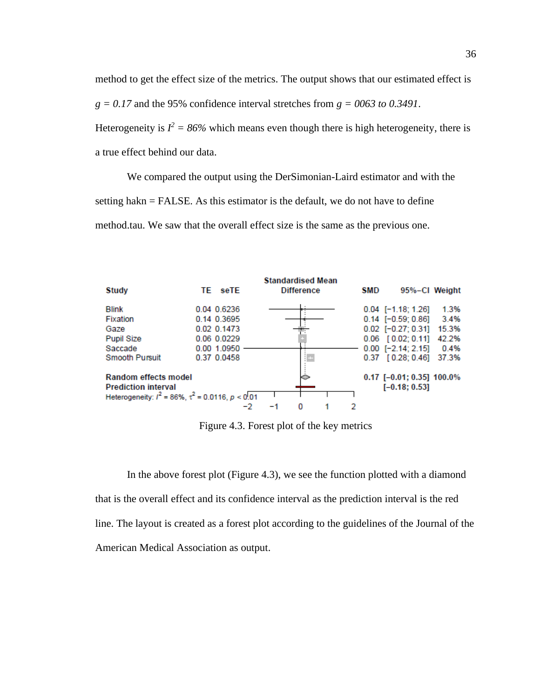method to get the effect size of the metrics. The output shows that our estimated effect is  $g = 0.17$  and the 95% confidence interval stretches from  $g = 0.063$  to 0.3491. Heterogeneity is  $I^2 = 86\%$  which means even though there is high heterogeneity, there is a true effect behind our data.

We compared the output using the DerSimonian-Laird estimator and with the setting hakn = FALSE. As this estimator is the default, we do not have to define method.tau. We saw that the overall effect size is the same as the previous one.



Figure 4.3. Forest plot of the key metrics

In the above forest plot (Figure 4.3), we see the function plotted with a diamond that is the overall effect and its confidence interval as the prediction interval is the red line. The layout is created as a forest plot according to the guidelines of the Journal of the American Medical Association as output.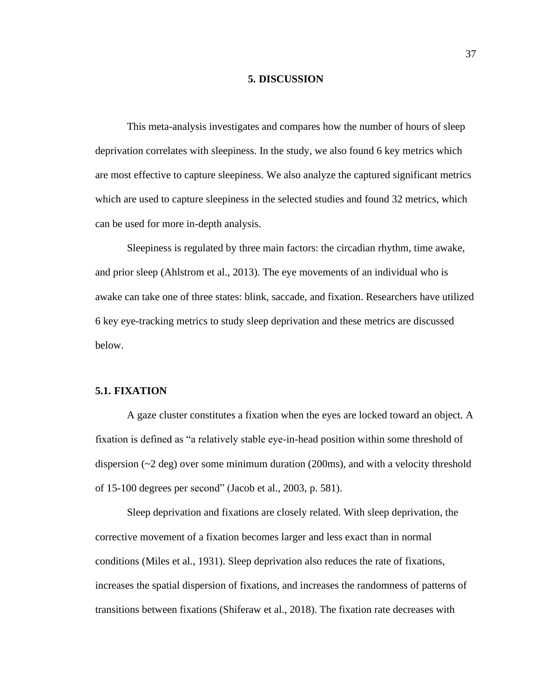#### **5. DISCUSSION**

This meta-analysis investigates and compares how the number of hours of sleep deprivation correlates with sleepiness. In the study, we also found 6 key metrics which are most effective to capture sleepiness. We also analyze the captured significant metrics which are used to capture sleepiness in the selected studies and found 32 metrics, which can be used for more in-depth analysis.

Sleepiness is regulated by three main factors: the circadian rhythm, time awake, and prior sleep (Ahlstrom et al., 2013). The eye movements of an individual who is awake can take one of three states: blink, saccade, and fixation. Researchers have utilized 6 key eye-tracking metrics to study sleep deprivation and these metrics are discussed below.

#### **5.1. FIXATION**

A gaze cluster constitutes a fixation when the eyes are locked toward an object. A fixation is defined as "a relatively stable eye-in-head position within some threshold of dispersion  $(\sim 2 \text{ deg})$  over some minimum duration (200ms), and with a velocity threshold of 15-100 degrees per second" (Jacob et al., 2003, p. 581).

Sleep deprivation and fixations are closely related. With sleep deprivation, the corrective movement of a fixation becomes larger and less exact than in normal conditions (Miles et al., 1931). Sleep deprivation also reduces the rate of fixations, increases the spatial dispersion of fixations, and increases the randomness of patterns of transitions between fixations (Shiferaw et al., 2018). The fixation rate decreases with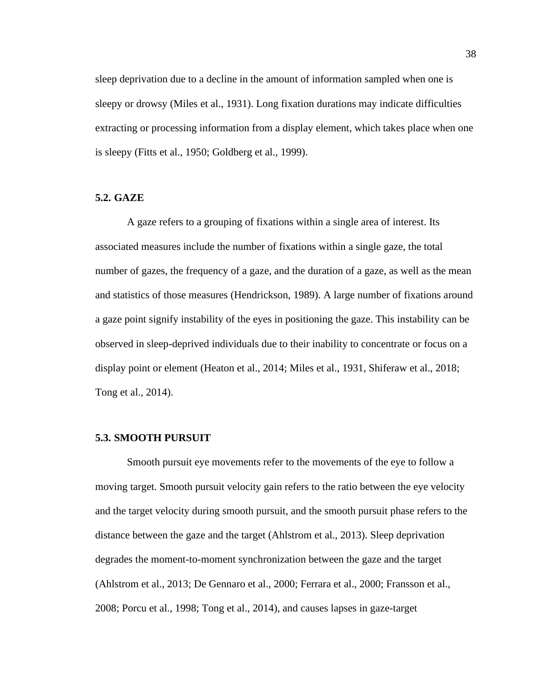sleep deprivation due to a decline in the amount of information sampled when one is sleepy or drowsy (Miles et al., 1931). Long fixation durations may indicate difficulties extracting or processing information from a display element, which takes place when one is sleepy (Fitts et al., 1950; Goldberg et al., 1999).

#### **5.2. GAZE**

A gaze refers to a grouping of fixations within a single area of interest. Its associated measures include the number of fixations within a single gaze, the total number of gazes, the frequency of a gaze, and the duration of a gaze, as well as the mean and statistics of those measures (Hendrickson, 1989). A large number of fixations around a gaze point signify instability of the eyes in positioning the gaze. This instability can be observed in sleep-deprived individuals due to their inability to concentrate or focus on a display point or element (Heaton et al., 2014; Miles et al., 1931, Shiferaw et al., 2018; Tong et al., 2014).

#### **5.3. SMOOTH PURSUIT**

Smooth pursuit eye movements refer to the movements of the eye to follow a moving target. Smooth pursuit velocity gain refers to the ratio between the eye velocity and the target velocity during smooth pursuit, and the smooth pursuit phase refers to the distance between the gaze and the target (Ahlstrom et al., 2013). Sleep deprivation degrades the moment-to-moment synchronization between the gaze and the target (Ahlstrom et al., 2013; De Gennaro et al., 2000; Ferrara et al., 2000; Fransson et al., 2008; Porcu et al., 1998; Tong et al., 2014), and causes lapses in gaze-target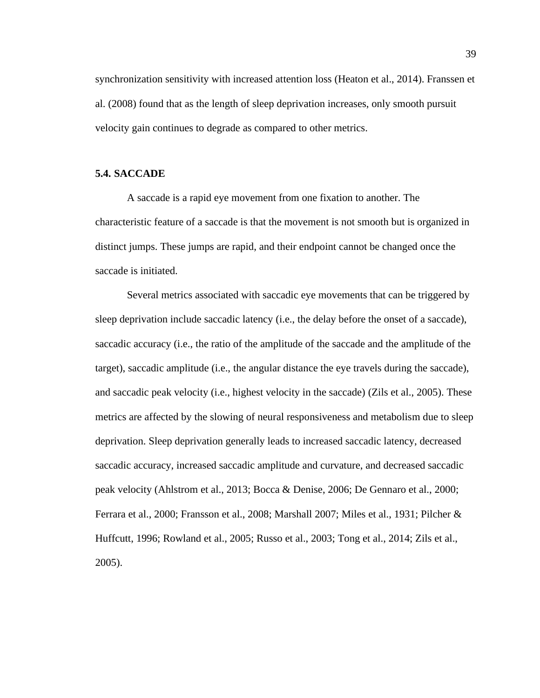synchronization sensitivity with increased attention loss (Heaton et al., 2014). Franssen et al. (2008) found that as the length of sleep deprivation increases, only smooth pursuit velocity gain continues to degrade as compared to other metrics.

#### **5.4. SACCADE**

A saccade is a rapid eye movement from one fixation to another. The characteristic feature of a saccade is that the movement is not smooth but is organized in distinct jumps. These jumps are rapid, and their endpoint cannot be changed once the saccade is initiated.

Several metrics associated with saccadic eye movements that can be triggered by sleep deprivation include saccadic latency (i.e., the delay before the onset of a saccade), saccadic accuracy (i.e., the ratio of the amplitude of the saccade and the amplitude of the target), saccadic amplitude (i.e., the angular distance the eye travels during the saccade), and saccadic peak velocity (i.e., highest velocity in the saccade) (Zils et al., 2005). These metrics are affected by the slowing of neural responsiveness and metabolism due to sleep deprivation. Sleep deprivation generally leads to increased saccadic latency, decreased saccadic accuracy, increased saccadic amplitude and curvature, and decreased saccadic peak velocity (Ahlstrom et al., 2013; Bocca & Denise, 2006; De Gennaro et al., 2000; Ferrara et al., 2000; Fransson et al., 2008; Marshall 2007; Miles et al., 1931; Pilcher & Huffcutt, 1996; Rowland et al., 2005; Russo et al., 2003; Tong et al., 2014; Zils et al., 2005).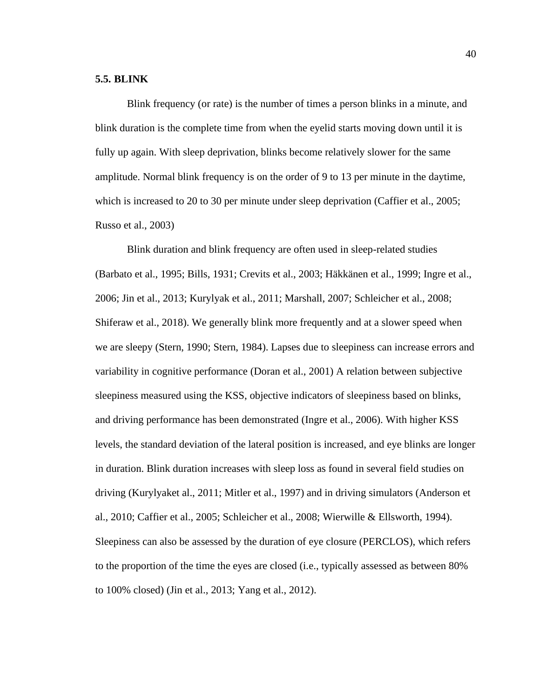#### **5.5. BLINK**

Blink frequency (or rate) is the number of times a person blinks in a minute, and blink duration is the complete time from when the eyelid starts moving down until it is fully up again. With sleep deprivation, blinks become relatively slower for the same amplitude. Normal blink frequency is on the order of 9 to 13 per minute in the daytime, which is increased to 20 to 30 per minute under sleep deprivation (Caffier et al., 2005; Russo et al., 2003)

Blink duration and blink frequency are often used in sleep-related studies (Barbato et al., 1995; Bills, 1931; Crevits et al., 2003; Häkkänen et al., 1999; Ingre et al., 2006; Jin et al., 2013; Kurylyak et al., 2011; Marshall, 2007; Schleicher et al., 2008; Shiferaw et al., 2018). We generally blink more frequently and at a slower speed when we are sleepy (Stern, 1990; Stern, 1984). Lapses due to sleepiness can increase errors and variability in cognitive performance (Doran et al., 2001) A relation between subjective sleepiness measured using the KSS, objective indicators of sleepiness based on blinks, and driving performance has been demonstrated (Ingre et al., 2006). With higher KSS levels, the standard deviation of the lateral position is increased, and eye blinks are longer in duration. Blink duration increases with sleep loss as found in several field studies on driving (Kurylyaket al., 2011; Mitler et al., 1997) and in driving simulators (Anderson et al., 2010; Caffier et al., 2005; Schleicher et al., 2008; Wierwille & Ellsworth, 1994). Sleepiness can also be assessed by the duration of eye closure (PERCLOS), which refers to the proportion of the time the eyes are closed (i.e., typically assessed as between 80% to 100% closed) (Jin et al., 2013; Yang et al., 2012).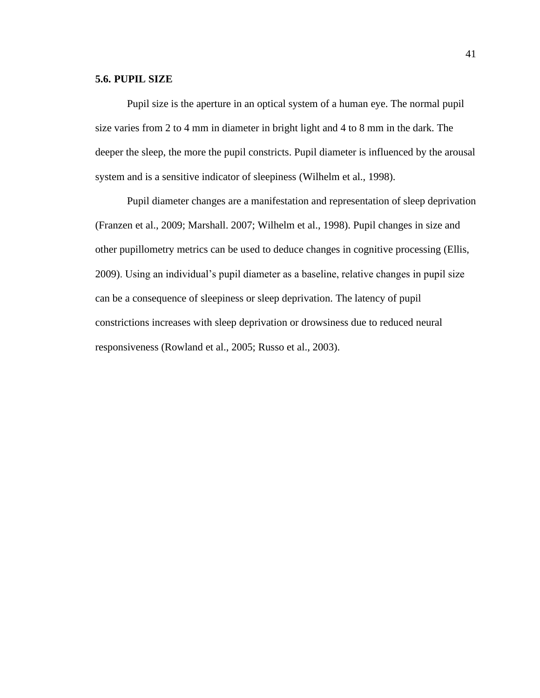#### **5.6. PUPIL SIZE**

Pupil size is the aperture in an optical system of a human eye. The normal pupil size varies from 2 to 4 mm in diameter in bright light and 4 to 8 mm in the dark. The deeper the sleep, the more the pupil constricts. Pupil diameter is influenced by the arousal system and is a sensitive indicator of sleepiness (Wilhelm et al., 1998).

Pupil diameter changes are a manifestation and representation of sleep deprivation (Franzen et al., 2009; Marshall. 2007; Wilhelm et al., 1998). Pupil changes in size and other pupillometry metrics can be used to deduce changes in cognitive processing (Ellis, 2009). Using an individual's pupil diameter as a baseline, relative changes in pupil size can be a consequence of sleepiness or sleep deprivation. The latency of pupil constrictions increases with sleep deprivation or drowsiness due to reduced neural responsiveness (Rowland et al., 2005; Russo et al., 2003).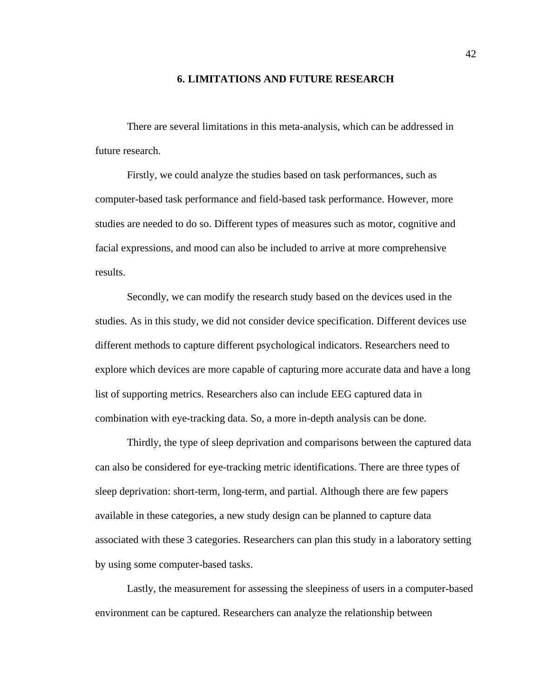#### **6. LIMITATIONS AND FUTURE RESEARCH**

There are several limitations in this meta-analysis, which can be addressed in future research.

Firstly, we could analyze the studies based on task performances, such as computer-based task performance and field-based task performance. However, more studies are needed to do so. Different types of measures such as motor, cognitive and facial expressions, and mood can also be included to arrive at more comprehensive results.

Secondly, we can modify the research study based on the devices used in the studies. As in this study, we did not consider device specification. Different devices use different methods to capture different psychological indicators. Researchers need to explore which devices are more capable of capturing more accurate data and have a long list of supporting metrics. Researchers also can include EEG captured data in combination with eye-tracking data. So, a more in-depth analysis can be done.

Thirdly, the type of sleep deprivation and comparisons between the captured data can also be considered for eye-tracking metric identifications. There are three types of sleep deprivation: short-term, long-term, and partial. Although there are few papers available in these categories, a new study design can be planned to capture data associated with these 3 categories. Researchers can plan this study in a laboratory setting by using some computer-based tasks.

Lastly, the measurement for assessing the sleepiness of users in a computer-based environment can be captured. Researchers can analyze the relationship between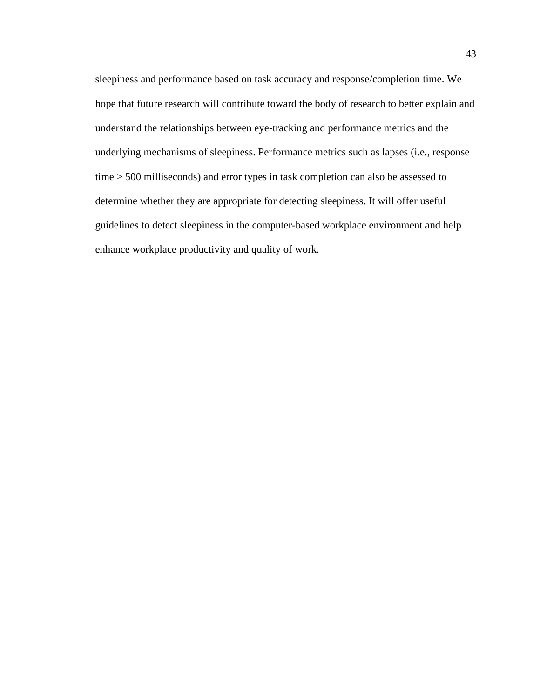sleepiness and performance based on task accuracy and response/completion time. We hope that future research will contribute toward the body of research to better explain and understand the relationships between eye-tracking and performance metrics and the underlying mechanisms of sleepiness. Performance metrics such as lapses (i.e., response time > 500 milliseconds) and error types in task completion can also be assessed to determine whether they are appropriate for detecting sleepiness. It will offer useful guidelines to detect sleepiness in the computer-based workplace environment and help enhance workplace productivity and quality of work.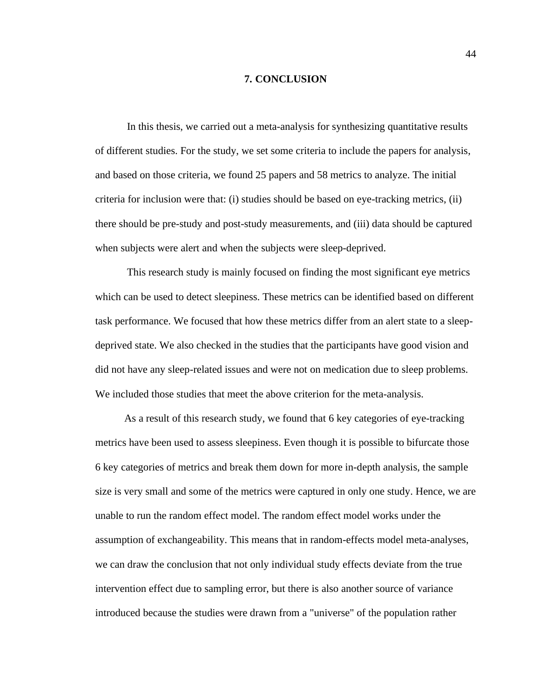#### **7. CONCLUSION**

In this thesis, we carried out a meta-analysis for synthesizing quantitative results of different studies. For the study, we set some criteria to include the papers for analysis, and based on those criteria, we found 25 papers and 58 metrics to analyze. The initial criteria for inclusion were that: (i) studies should be based on eye-tracking metrics, (ii) there should be pre-study and post-study measurements, and (iii) data should be captured when subjects were alert and when the subjects were sleep-deprived.

This research study is mainly focused on finding the most significant eye metrics which can be used to detect sleepiness. These metrics can be identified based on different task performance. We focused that how these metrics differ from an alert state to a sleepdeprived state. We also checked in the studies that the participants have good vision and did not have any sleep-related issues and were not on medication due to sleep problems. We included those studies that meet the above criterion for the meta-analysis.

 As a result of this research study, we found that 6 key categories of eye-tracking metrics have been used to assess sleepiness. Even though it is possible to bifurcate those 6 key categories of metrics and break them down for more in-depth analysis, the sample size is very small and some of the metrics were captured in only one study. Hence, we are unable to run the random effect model. The random effect model works under the assumption of exchangeability. This means that in random-effects model meta-analyses, we can draw the conclusion that not only individual study effects deviate from the true intervention effect due to sampling error, but there is also another source of variance introduced because the studies were drawn from a "universe" of the population rather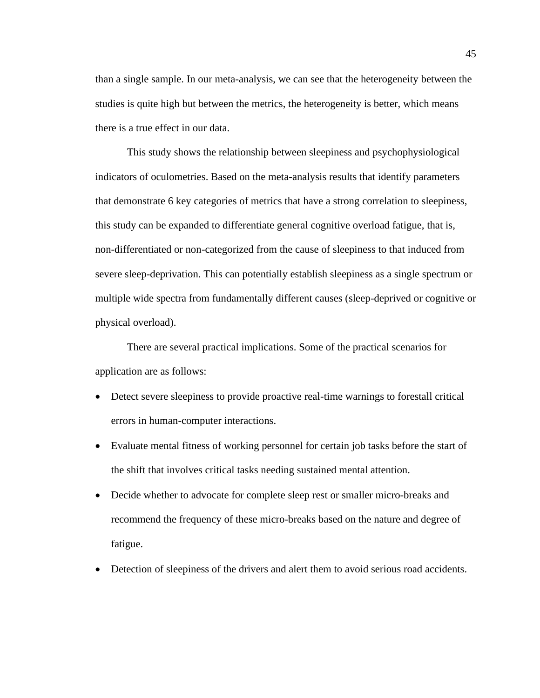than a single sample. In our meta-analysis, we can see that the heterogeneity between the studies is quite high but between the metrics, the heterogeneity is better, which means there is a true effect in our data.

This study shows the relationship between sleepiness and psychophysiological indicators of oculometries. Based on the meta-analysis results that identify parameters that demonstrate 6 key categories of metrics that have a strong correlation to sleepiness, this study can be expanded to differentiate general cognitive overload fatigue, that is, non-differentiated or non-categorized from the cause of sleepiness to that induced from severe sleep-deprivation. This can potentially establish sleepiness as a single spectrum or multiple wide spectra from fundamentally different causes (sleep-deprived or cognitive or physical overload).

There are several practical implications. Some of the practical scenarios for application are as follows:

- Detect severe sleepiness to provide proactive real-time warnings to forestall critical errors in human-computer interactions.
- Evaluate mental fitness of working personnel for certain job tasks before the start of the shift that involves critical tasks needing sustained mental attention.
- Decide whether to advocate for complete sleep rest or smaller micro-breaks and recommend the frequency of these micro-breaks based on the nature and degree of fatigue.
- Detection of sleepiness of the drivers and alert them to avoid serious road accidents.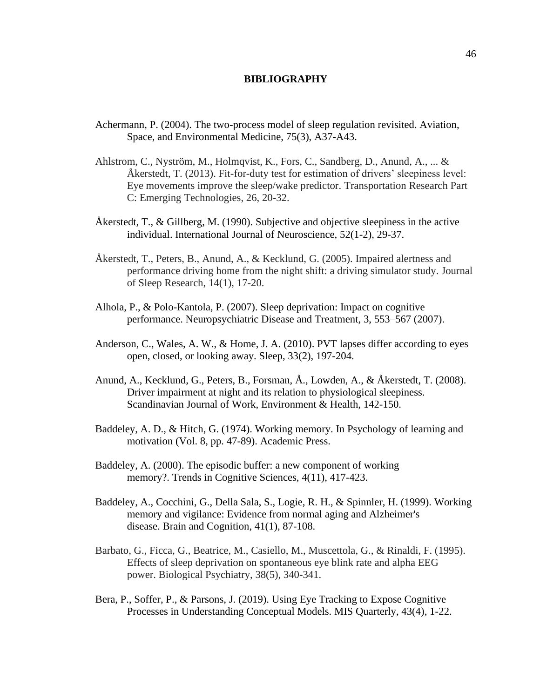#### **BIBLIOGRAPHY**

- Achermann, P. (2004). The two-process model of sleep regulation revisited. Aviation, Space, and Environmental Medicine, 75(3), A37-A43.
- Ahlstrom, C., Nyström, M., Holmqvist, K., Fors, C., Sandberg, D., Anund, A., ... & Åkerstedt, T. (2013). Fit-for-duty test for estimation of drivers' sleepiness level: Eye movements improve the sleep/wake predictor. Transportation Research Part C: Emerging Technologies, 26, 20-32.
- Åkerstedt, T., & Gillberg, M. (1990). Subjective and objective sleepiness in the active individual. International Journal of Neuroscience, 52(1-2), 29-37.
- Åkerstedt, T., Peters, B., Anund, A., & Kecklund, G. (2005). Impaired alertness and performance driving home from the night shift: a driving simulator study. Journal of Sleep Research, 14(1), 17-20.
- Alhola, P., & Polo-Kantola, P. (2007). Sleep deprivation: Impact on cognitive performance. Neuropsychiatric Disease and Treatment, 3, 553–567 (2007).
- Anderson, C., Wales, A. W., & Home, J. A. (2010). PVT lapses differ according to eyes open, closed, or looking away. Sleep, 33(2), 197-204.
- Anund, A., Kecklund, G., Peters, B., Forsman, Å., Lowden, A., & Åkerstedt, T. (2008). Driver impairment at night and its relation to physiological sleepiness. Scandinavian Journal of Work, Environment & Health, 142-150.
- Baddeley, A. D., & Hitch, G. (1974). Working memory. In Psychology of learning and motivation (Vol. 8, pp. 47-89). Academic Press.
- Baddeley, A. (2000). The episodic buffer: a new component of working memory?. Trends in Cognitive Sciences, 4(11), 417-423.
- Baddeley, A., Cocchini, G., Della Sala, S., Logie, R. H., & Spinnler, H. (1999). Working memory and vigilance: Evidence from normal aging and Alzheimer's disease. Brain and Cognition, 41(1), 87-108.
- Barbato, G., Ficca, G., Beatrice, M., Casiello, M., Muscettola, G., & Rinaldi, F. (1995). Effects of sleep deprivation on spontaneous eye blink rate and alpha EEG power. Biological Psychiatry, 38(5), 340-341.
- Bera, P., Soffer, P., & Parsons, J. (2019). Using Eye Tracking to Expose Cognitive Processes in Understanding Conceptual Models. MIS Quarterly, 43(4), 1-22.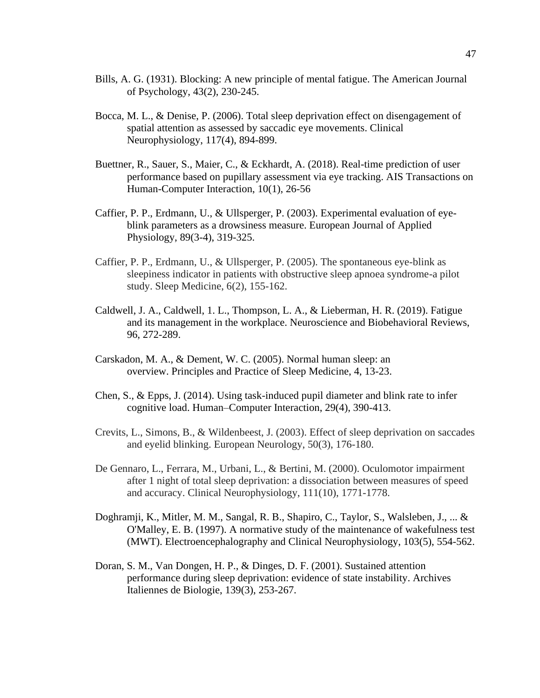- Bills, A. G. (1931). Blocking: A new principle of mental fatigue. The American Journal of Psychology, 43(2), 230-245.
- Bocca, M. L., & Denise, P. (2006). Total sleep deprivation effect on disengagement of spatial attention as assessed by saccadic eye movements. Clinical Neurophysiology, 117(4), 894-899.
- Buettner, R., Sauer, S., Maier, C., & Eckhardt, A. (2018). Real-time prediction of user performance based on pupillary assessment via eye tracking. AIS Transactions on Human-Computer Interaction, 10(1), 26-56
- Caffier, P. P., Erdmann, U., & Ullsperger, P. (2003). Experimental evaluation of eyeblink parameters as a drowsiness measure. European Journal of Applied Physiology, 89(3-4), 319-325.
- Caffier, P. P., Erdmann, U., & Ullsperger, P. (2005). The spontaneous eye-blink as sleepiness indicator in patients with obstructive sleep apnoea syndrome-a pilot study. Sleep Medicine, 6(2), 155-162.
- Caldwell, J. A., Caldwell, 1. L., Thompson, L. A., & Lieberman, H. R. (2019). Fatigue and its management in the workplace. Neuroscience and Biobehavioral Reviews, 96, 272-289.
- Carskadon, M. A., & Dement, W. C. (2005). Normal human sleep: an overview. Principles and Practice of Sleep Medicine, 4, 13-23.
- Chen, S., & Epps, J. (2014). Using task-induced pupil diameter and blink rate to infer cognitive load. Human–Computer Interaction, 29(4), 390-413.
- Crevits, L., Simons, B., & Wildenbeest, J. (2003). Effect of sleep deprivation on saccades and eyelid blinking. European Neurology, 50(3), 176-180.
- De Gennaro, L., Ferrara, M., Urbani, L., & Bertini, M. (2000). Oculomotor impairment after 1 night of total sleep deprivation: a dissociation between measures of speed and accuracy. Clinical Neurophysiology, 111(10), 1771-1778.
- Doghramji, K., Mitler, M. M., Sangal, R. B., Shapiro, C., Taylor, S., Walsleben, J., ... & O'Malley, E. B. (1997). A normative study of the maintenance of wakefulness test (MWT). Electroencephalography and Clinical Neurophysiology, 103(5), 554-562.
- Doran, S. M., Van Dongen, H. P., & Dinges, D. F. (2001). Sustained attention performance during sleep deprivation: evidence of state instability. Archives Italiennes de Biologie, 139(3), 253-267.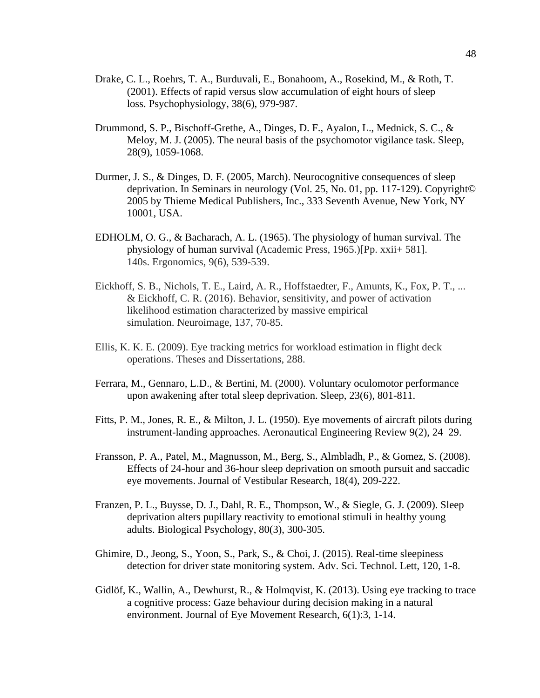- Drake, C. L., Roehrs, T. A., Burduvali, E., Bonahoom, A., Rosekind, M., & Roth, T. (2001). Effects of rapid versus slow accumulation of eight hours of sleep loss. Psychophysiology, 38(6), 979-987.
- Drummond, S. P., Bischoff-Grethe, A., Dinges, D. F., Ayalon, L., Mednick, S. C., & Meloy, M. J. (2005). The neural basis of the psychomotor vigilance task. Sleep, 28(9), 1059-1068.
- Durmer, J. S., & Dinges, D. F. (2005, March). Neurocognitive consequences of sleep deprivation. In Seminars in neurology (Vol. 25, No. 01, pp. 117-129). Copyright© 2005 by Thieme Medical Publishers, Inc., 333 Seventh Avenue, New York, NY 10001, USA.
- EDHOLM, O. G., & Bacharach, A. L. (1965). The physiology of human survival. The physiology of human survival (Academic Press, 1965.)[Pp. xxii+ 581]. 140s. Ergonomics, 9(6), 539-539.
- Eickhoff, S. B., Nichols, T. E., Laird, A. R., Hoffstaedter, F., Amunts, K., Fox, P. T., ... & Eickhoff, C. R. (2016). Behavior, sensitivity, and power of activation likelihood estimation characterized by massive empirical simulation. Neuroimage, 137, 70-85.
- Ellis, K. K. E. (2009). Eye tracking metrics for workload estimation in flight deck operations. Theses and Dissertations, 288.
- Ferrara, M., Gennaro, L.D., & Bertini, M. (2000). Voluntary oculomotor performance upon awakening after total sleep deprivation. Sleep, 23(6), 801-811.
- Fitts, P. M., Jones, R. E., & Milton, J. L. (1950). Eye movements of aircraft pilots during instrument-landing approaches. Aeronautical Engineering Review 9(2), 24–29.
- Fransson, P. A., Patel, M., Magnusson, M., Berg, S., Almbladh, P., & Gomez, S. (2008). Effects of 24-hour and 36-hour sleep deprivation on smooth pursuit and saccadic eye movements. Journal of Vestibular Research, 18(4), 209-222.
- Franzen, P. L., Buysse, D. J., Dahl, R. E., Thompson, W., & Siegle, G. J. (2009). Sleep deprivation alters pupillary reactivity to emotional stimuli in healthy young adults. Biological Psychology, 80(3), 300-305.
- Ghimire, D., Jeong, S., Yoon, S., Park, S., & Choi, J. (2015). Real-time sleepiness detection for driver state monitoring system. Adv. Sci. Technol. Lett, 120, 1-8.
- Gidlöf, K., Wallin, A., Dewhurst, R., & Holmqvist, K. (2013). Using eye tracking to trace a cognitive process: Gaze behaviour during decision making in a natural environment. Journal of Eye Movement Research, 6(1):3, 1-14.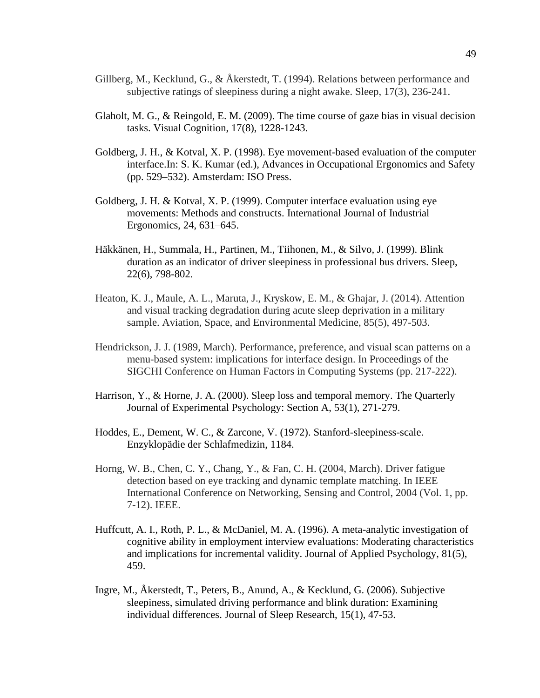- Gillberg, M., Kecklund, G., & Åkerstedt, T. (1994). Relations between performance and subjective ratings of sleepiness during a night awake. Sleep, 17(3), 236-241.
- Glaholt, M. G., & Reingold, E. M. (2009). The time course of gaze bias in visual decision tasks. Visual Cognition, 17(8), 1228-1243.
- Goldberg, J. H., & Kotval, X. P. (1998). Eye movement-based evaluation of the computer interface.In: S. K. Kumar (ed.), Advances in Occupational Ergonomics and Safety (pp. 529–532). Amsterdam: ISO Press.
- Goldberg, J. H. & Kotval, X. P. (1999). Computer interface evaluation using eye movements: Methods and constructs. International Journal of Industrial Ergonomics, 24, 631–645.
- Häkkänen, H., Summala, H., Partinen, M., Tiihonen, M., & Silvo, J. (1999). Blink duration as an indicator of driver sleepiness in professional bus drivers. Sleep, 22(6), 798-802.
- Heaton, K. J., Maule, A. L., Maruta, J., Kryskow, E. M., & Ghajar, J. (2014). Attention and visual tracking degradation during acute sleep deprivation in a military sample. Aviation, Space, and Environmental Medicine, 85(5), 497-503.
- Hendrickson, J. J. (1989, March). Performance, preference, and visual scan patterns on a menu-based system: implications for interface design. In Proceedings of the SIGCHI Conference on Human Factors in Computing Systems (pp. 217-222).
- Harrison, Y., & Horne, J. A. (2000). Sleep loss and temporal memory. The Quarterly Journal of Experimental Psychology: Section A, 53(1), 271-279.
- Hoddes, E., Dement, W. C., & Zarcone, V. (1972). Stanford-sleepiness-scale. Enzyklopädie der Schlafmedizin, 1184.
- Horng, W. B., Chen, C. Y., Chang, Y., & Fan, C. H. (2004, March). Driver fatigue detection based on eye tracking and dynamic template matching. In IEEE International Conference on Networking, Sensing and Control, 2004 (Vol. 1, pp. 7-12). IEEE.
- Huffcutt, A. I., Roth, P. L., & McDaniel, M. A. (1996). A meta-analytic investigation of cognitive ability in employment interview evaluations: Moderating characteristics and implications for incremental validity. Journal of Applied Psychology, 81(5), 459.
- Ingre, M., Åkerstedt, T., Peters, B., Anund, A., & Kecklund, G. (2006). Subjective sleepiness, simulated driving performance and blink duration: Examining individual differences. Journal of Sleep Research, 15(1), 47-53.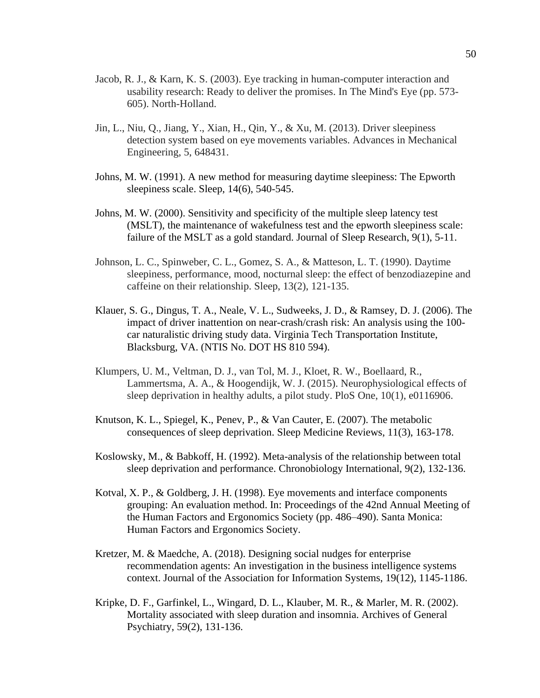- Jacob, R. J., & Karn, K. S. (2003). Eye tracking in human-computer interaction and usability research: Ready to deliver the promises. In The Mind's Eye (pp. 573- 605). North-Holland.
- Jin, L., Niu, Q., Jiang, Y., Xian, H., Qin, Y., & Xu, M. (2013). Driver sleepiness detection system based on eye movements variables. Advances in Mechanical Engineering, 5, 648431.
- Johns, M. W. (1991). A new method for measuring daytime sleepiness: The Epworth sleepiness scale. Sleep, 14(6), 540-545.
- Johns, M. W. (2000). Sensitivity and specificity of the multiple sleep latency test (MSLT), the maintenance of wakefulness test and the epworth sleepiness scale: failure of the MSLT as a gold standard. Journal of Sleep Research, 9(1), 5-11.
- Johnson, L. C., Spinweber, C. L., Gomez, S. A., & Matteson, L. T. (1990). Daytime sleepiness, performance, mood, nocturnal sleep: the effect of benzodiazepine and caffeine on their relationship. Sleep, 13(2), 121-135.
- Klauer, S. G., Dingus, T. A., Neale, V. L., Sudweeks, J. D., & Ramsey, D. J. (2006). The impact of driver inattention on near-crash/crash risk: An analysis using the 100 car naturalistic driving study data. Virginia Tech Transportation Institute, Blacksburg, VA. (NTIS No. DOT HS 810 594).
- Klumpers, U. M., Veltman, D. J., van Tol, M. J., Kloet, R. W., Boellaard, R., Lammertsma, A. A., & Hoogendijk, W. J. (2015). Neurophysiological effects of sleep deprivation in healthy adults, a pilot study. PloS One, 10(1), e0116906.
- Knutson, K. L., Spiegel, K., Penev, P., & Van Cauter, E. (2007). The metabolic consequences of sleep deprivation. Sleep Medicine Reviews, 11(3), 163-178.
- Koslowsky, M., & Babkoff, H. (1992). Meta-analysis of the relationship between total sleep deprivation and performance. Chronobiology International, 9(2), 132-136.
- Kotval, X. P., & Goldberg, J. H. (1998). Eye movements and interface components grouping: An evaluation method. In: Proceedings of the 42nd Annual Meeting of the Human Factors and Ergonomics Society (pp. 486–490). Santa Monica: Human Factors and Ergonomics Society.
- Kretzer, M. & Maedche, A. (2018). Designing social nudges for enterprise recommendation agents: An investigation in the business intelligence systems context. Journal of the Association for Information Systems, 19(12), 1145-1186.
- Kripke, D. F., Garfinkel, L., Wingard, D. L., Klauber, M. R., & Marler, M. R. (2002). Mortality associated with sleep duration and insomnia. Archives of General Psychiatry, 59(2), 131-136.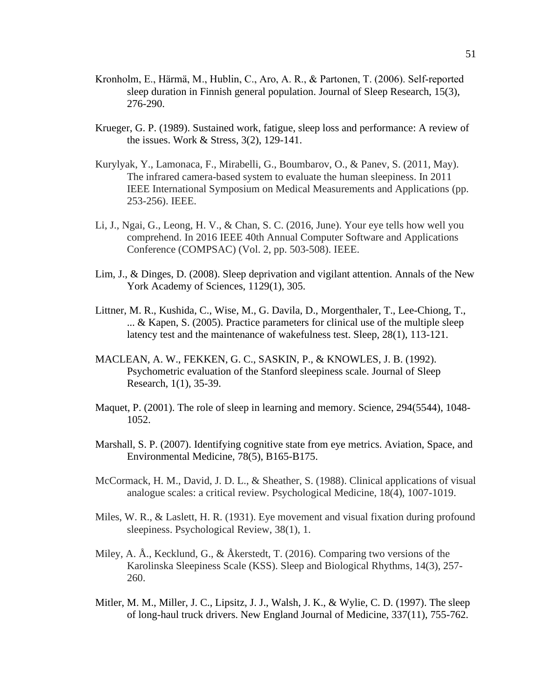- Kronholm, E., Härmä, M., Hublin, C., Aro, A. R., & Partonen, T. (2006). Self‐reported sleep duration in Finnish general population. Journal of Sleep Research, 15(3), 276-290.
- Krueger, G. P. (1989). Sustained work, fatigue, sleep loss and performance: A review of the issues. Work & Stress, 3(2), 129-141.
- Kurylyak, Y., Lamonaca, F., Mirabelli, G., Boumbarov, O., & Panev, S. (2011, May). The infrared camera-based system to evaluate the human sleepiness. In 2011 IEEE International Symposium on Medical Measurements and Applications (pp. 253-256). IEEE.
- Li, J., Ngai, G., Leong, H. V., & Chan, S. C. (2016, June). Your eye tells how well you comprehend. In 2016 IEEE 40th Annual Computer Software and Applications Conference (COMPSAC) (Vol. 2, pp. 503-508). IEEE.
- Lim, J., & Dinges, D. (2008). Sleep deprivation and vigilant attention. Annals of the New York Academy of Sciences, 1129(1), 305.
- Littner, M. R., Kushida, C., Wise, M., G. Davila, D., Morgenthaler, T., Lee-Chiong, T., ... & Kapen, S. (2005). Practice parameters for clinical use of the multiple sleep latency test and the maintenance of wakefulness test. Sleep, 28(1), 113-121.
- MACLEAN, A. W., FEKKEN, G. C., SASKIN, P., & KNOWLES, J. B. (1992). Psychometric evaluation of the Stanford sleepiness scale. Journal of Sleep Research, 1(1), 35-39.
- Maquet, P. (2001). The role of sleep in learning and memory. Science, 294(5544), 1048- 1052.
- Marshall, S. P. (2007). Identifying cognitive state from eye metrics. Aviation, Space, and Environmental Medicine, 78(5), B165-B175.
- McCormack, H. M., David, J. D. L., & Sheather, S. (1988). Clinical applications of visual analogue scales: a critical review. Psychological Medicine, 18(4), 1007-1019.
- Miles, W. R., & Laslett, H. R. (1931). Eye movement and visual fixation during profound sleepiness. Psychological Review, 38(1), 1.
- Miley, A. Å., Kecklund, G., & Åkerstedt, T. (2016). Comparing two versions of the Karolinska Sleepiness Scale (KSS). Sleep and Biological Rhythms, 14(3), 257- 260.
- Mitler, M. M., Miller, J. C., Lipsitz, J. J., Walsh, J. K., & Wylie, C. D. (1997). The sleep of long-haul truck drivers. New England Journal of Medicine, 337(11), 755-762.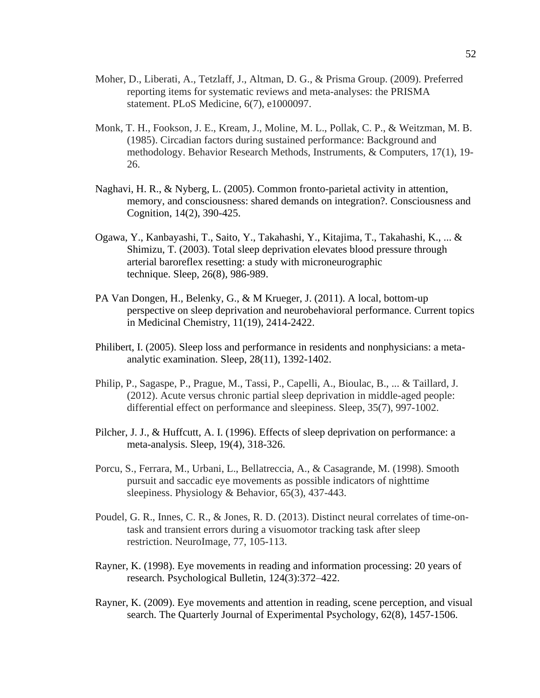- Moher, D., Liberati, A., Tetzlaff, J., Altman, D. G., & Prisma Group. (2009). Preferred reporting items for systematic reviews and meta-analyses: the PRISMA statement. PLoS Medicine, 6(7), e1000097.
- Monk, T. H., Fookson, J. E., Kream, J., Moline, M. L., Pollak, C. P., & Weitzman, M. B. (1985). Circadian factors during sustained performance: Background and methodology. Behavior Research Methods, Instruments, & Computers, 17(1), 19- 26.
- Naghavi, H. R., & Nyberg, L. (2005). Common fronto-parietal activity in attention, memory, and consciousness: shared demands on integration?. Consciousness and Cognition, 14(2), 390-425.
- Ogawa, Y., Kanbayashi, T., Saito, Y., Takahashi, Y., Kitajima, T., Takahashi, K., ... & Shimizu, T. (2003). Total sleep deprivation elevates blood pressure through arterial baroreflex resetting: a study with microneurographic technique. Sleep, 26(8), 986-989.
- PA Van Dongen, H., Belenky, G., & M Krueger, J. (2011). A local, bottom-up perspective on sleep deprivation and neurobehavioral performance. Current topics in Medicinal Chemistry, 11(19), 2414-2422.
- Philibert, I. (2005). Sleep loss and performance in residents and nonphysicians: a metaanalytic examination. Sleep, 28(11), 1392-1402.
- Philip, P., Sagaspe, P., Prague, M., Tassi, P., Capelli, A., Bioulac, B., ... & Taillard, J. (2012). Acute versus chronic partial sleep deprivation in middle-aged people: differential effect on performance and sleepiness. Sleep, 35(7), 997-1002.
- Pilcher, J. J., & Huffcutt, A. I. (1996). Effects of sleep deprivation on performance: a meta-analysis. Sleep, 19(4), 318-326.
- Porcu, S., Ferrara, M., Urbani, L., Bellatreccia, A., & Casagrande, M. (1998). Smooth pursuit and saccadic eye movements as possible indicators of nighttime sleepiness. Physiology & Behavior, 65(3), 437-443.
- Poudel, G. R., Innes, C. R., & Jones, R. D. (2013). Distinct neural correlates of time-ontask and transient errors during a visuomotor tracking task after sleep restriction. NeuroImage, 77, 105-113.
- Rayner, K. (1998). Eye movements in reading and information processing: 20 years of research. Psychological Bulletin, 124(3):372–422.
- Rayner, K. (2009). Eye movements and attention in reading, scene perception, and visual search. The Quarterly Journal of Experimental Psychology, 62(8), 1457-1506.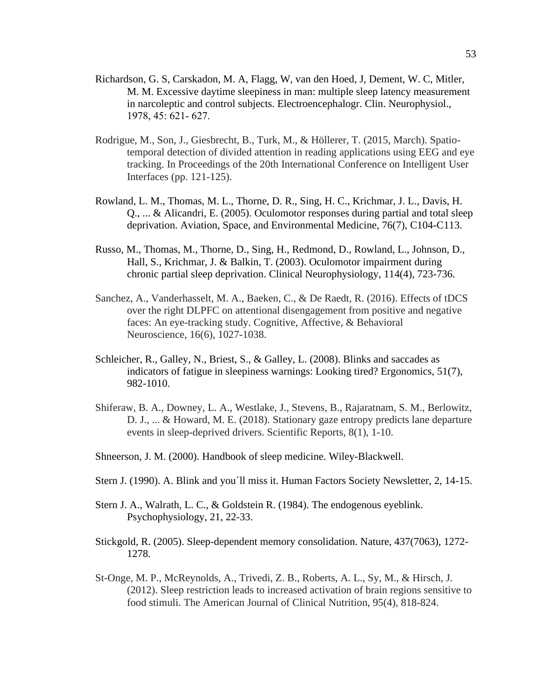- Richardson, G. S, Carskadon, M. A, Flagg, W, van den Hoed, J, Dement, W. C, Mitler, M. M. Excessive daytime sleepiness in man: multiple sleep latency measurement in narcoleptic and control subjects. Electroencephalogr. Clin. Neurophysiol., 1978, 45: 621‐ 627.
- Rodrigue, M., Son, J., Giesbrecht, B., Turk, M., & Höllerer, T. (2015, March). Spatiotemporal detection of divided attention in reading applications using EEG and eye tracking. In Proceedings of the 20th International Conference on Intelligent User Interfaces (pp. 121-125).
- Rowland, L. M., Thomas, M. L., Thorne, D. R., Sing, H. C., Krichmar, J. L., Davis, H. Q., ... & Alicandri, E. (2005). Oculomotor responses during partial and total sleep deprivation. Aviation, Space, and Environmental Medicine, 76(7), C104-C113.
- Russo, M., Thomas, M., Thorne, D., Sing, H., Redmond, D., Rowland, L., Johnson, D., Hall, S., Krichmar, J. & Balkin, T. (2003). Oculomotor impairment during chronic partial sleep deprivation. Clinical Neurophysiology, 114(4), 723-736.
- Sanchez, A., Vanderhasselt, M. A., Baeken, C., & De Raedt, R. (2016). Effects of tDCS over the right DLPFC on attentional disengagement from positive and negative faces: An eye-tracking study. Cognitive, Affective, & Behavioral Neuroscience, 16(6), 1027-1038.
- Schleicher, R., Galley, N., Briest, S., & Galley, L. (2008). Blinks and saccades as indicators of fatigue in sleepiness warnings: Looking tired? Ergonomics, 51(7), 982-1010.
- Shiferaw, B. A., Downey, L. A., Westlake, J., Stevens, B., Rajaratnam, S. M., Berlowitz, D. J., ... & Howard, M. E. (2018). Stationary gaze entropy predicts lane departure events in sleep-deprived drivers. Scientific Reports, 8(1), 1-10.
- Shneerson, J. M. (2000). Handbook of sleep medicine. Wiley-Blackwell.
- Stern J. (1990). A. Blink and you´ll miss it. Human Factors Society Newsletter, 2, 14-15.
- Stern J. A., Walrath, L. C., & Goldstein R. (1984). The endogenous eyeblink. Psychophysiology, 21, 22-33.
- Stickgold, R. (2005). Sleep-dependent memory consolidation. Nature, 437(7063), 1272- 1278.
- St-Onge, M. P., McReynolds, A., Trivedi, Z. B., Roberts, A. L., Sy, M., & Hirsch, J. (2012). Sleep restriction leads to increased activation of brain regions sensitive to food stimuli. The American Journal of Clinical Nutrition, 95(4), 818-824.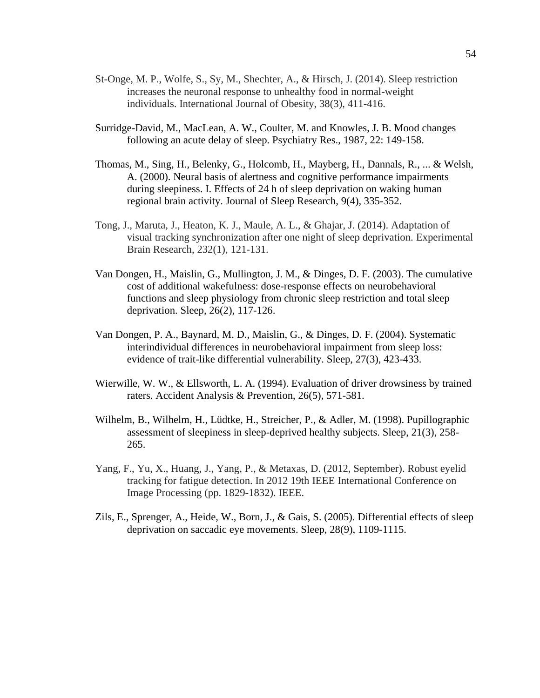- St-Onge, M. P., Wolfe, S., Sy, M., Shechter, A., & Hirsch, J. (2014). Sleep restriction increases the neuronal response to unhealthy food in normal-weight individuals. International Journal of Obesity, 38(3), 411-416.
- Surridge-David, M., MacLean, A. W., Coulter, M. and Knowles, J. B. Mood changes following an acute delay of sleep. Psychiatry Res., 1987, 22: 149-158.
- Thomas, M., Sing, H., Belenky, G., Holcomb, H., Mayberg, H., Dannals, R., ... & Welsh, A. (2000). Neural basis of alertness and cognitive performance impairments during sleepiness. I. Effects of 24 h of sleep deprivation on waking human regional brain activity. Journal of Sleep Research, 9(4), 335-352.
- Tong, J., Maruta, J., Heaton, K. J., Maule, A. L., & Ghajar, J. (2014). Adaptation of visual tracking synchronization after one night of sleep deprivation. Experimental Brain Research, 232(1), 121-131.
- Van Dongen, H., Maislin, G., Mullington, J. M., & Dinges, D. F. (2003). The cumulative cost of additional wakefulness: dose-response effects on neurobehavioral functions and sleep physiology from chronic sleep restriction and total sleep deprivation. Sleep, 26(2), 117-126.
- Van Dongen, P. A., Baynard, M. D., Maislin, G., & Dinges, D. F. (2004). Systematic interindividual differences in neurobehavioral impairment from sleep loss: evidence of trait-like differential vulnerability. Sleep, 27(3), 423-433.
- Wierwille, W. W., & Ellsworth, L. A. (1994). Evaluation of driver drowsiness by trained raters. Accident Analysis & Prevention, 26(5), 571-581.
- Wilhelm, B., Wilhelm, H., Lüdtke, H., Streicher, P., & Adler, M. (1998). Pupillographic assessment of sleepiness in sleep-deprived healthy subjects. Sleep, 21(3), 258- 265.
- Yang, F., Yu, X., Huang, J., Yang, P., & Metaxas, D. (2012, September). Robust eyelid tracking for fatigue detection. In 2012 19th IEEE International Conference on Image Processing (pp. 1829-1832). IEEE.
- Zils, E., Sprenger, A., Heide, W., Born, J., & Gais, S. (2005). Differential effects of sleep deprivation on saccadic eye movements. Sleep, 28(9), 1109-1115.